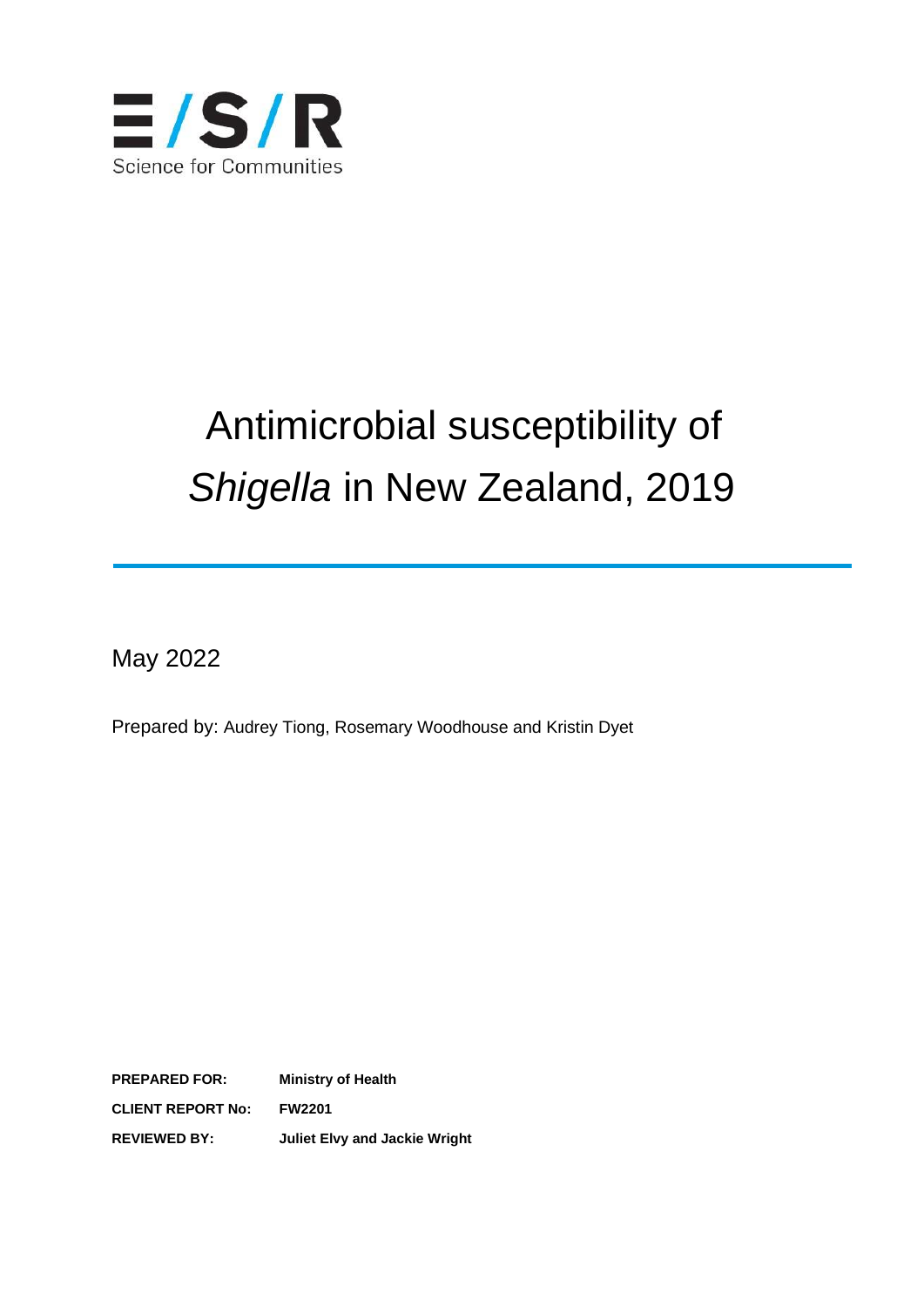

# Antimicrobial susceptibility of *Shigella* in New Zealand, 2019

May 2022

Prepared by: Audrey Tiong, Rosemary Woodhouse and Kristin Dyet

**PREPARED FOR: Ministry of Health CLIENT REPORT No: FW2201 REVIEWED BY: Juliet Elvy and Jackie Wright**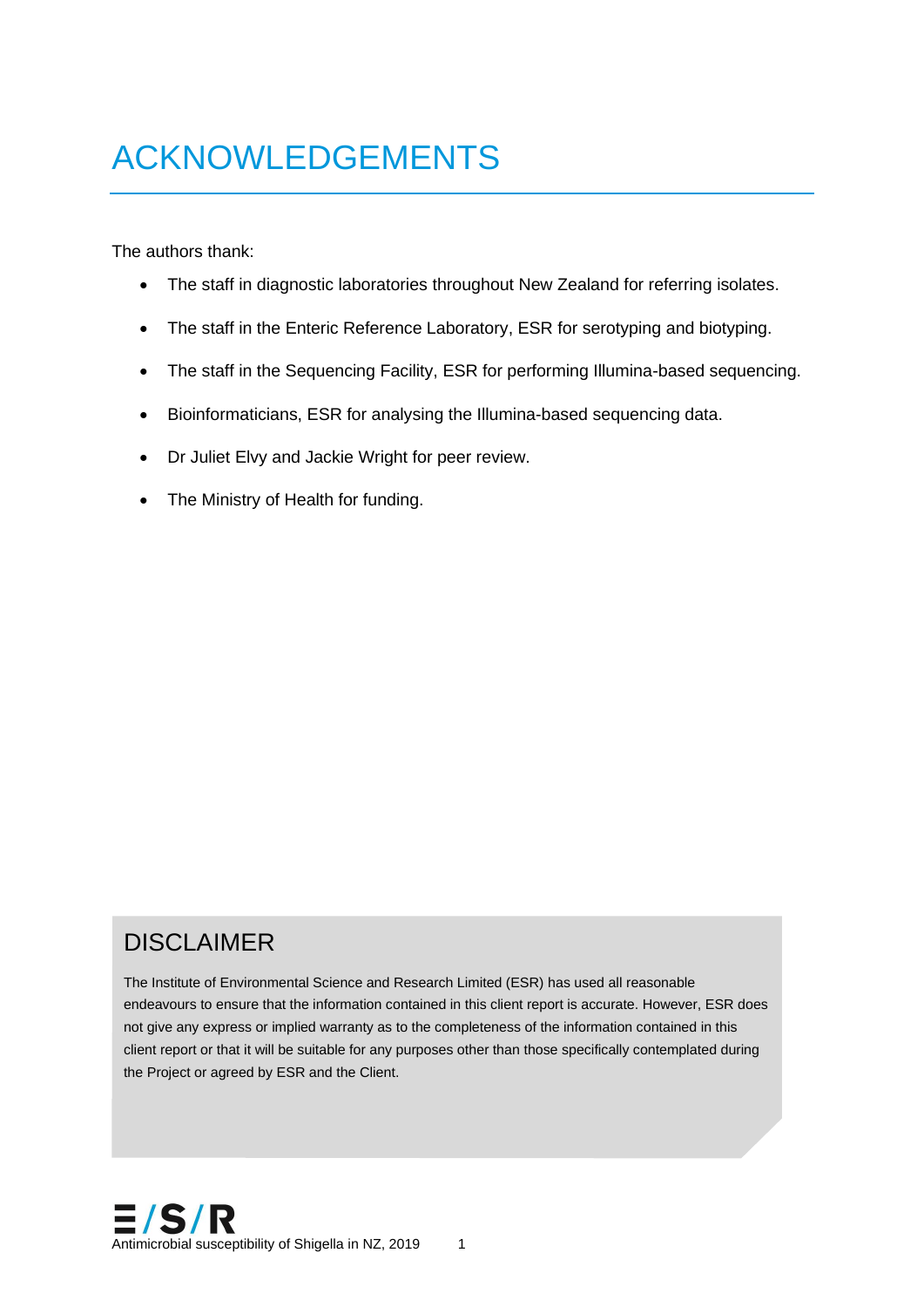# ACKNOWLEDGEMENTS

The authors thank:

- The staff in diagnostic laboratories throughout New Zealand for referring isolates.
- The staff in the Enteric Reference Laboratory, ESR for serotyping and biotyping.
- The staff in the Sequencing Facility, ESR for performing Illumina-based sequencing.
- Bioinformaticians, ESR for analysing the Illumina-based sequencing data.
- Dr Juliet Elvy and Jackie Wright for peer review.
- The Ministry of Health for funding.

#### DISCLAIMER

The Institute of Environmental Science and Research Limited (ESR) has used all reasonable endeavours to ensure that the information contained in this client report is accurate. However, ESR does not give any express or implied warranty as to the completeness of the information contained in this client report or that it will be suitable for any purposes other than those specifically contemplated during the Project or agreed by ESR and the Client.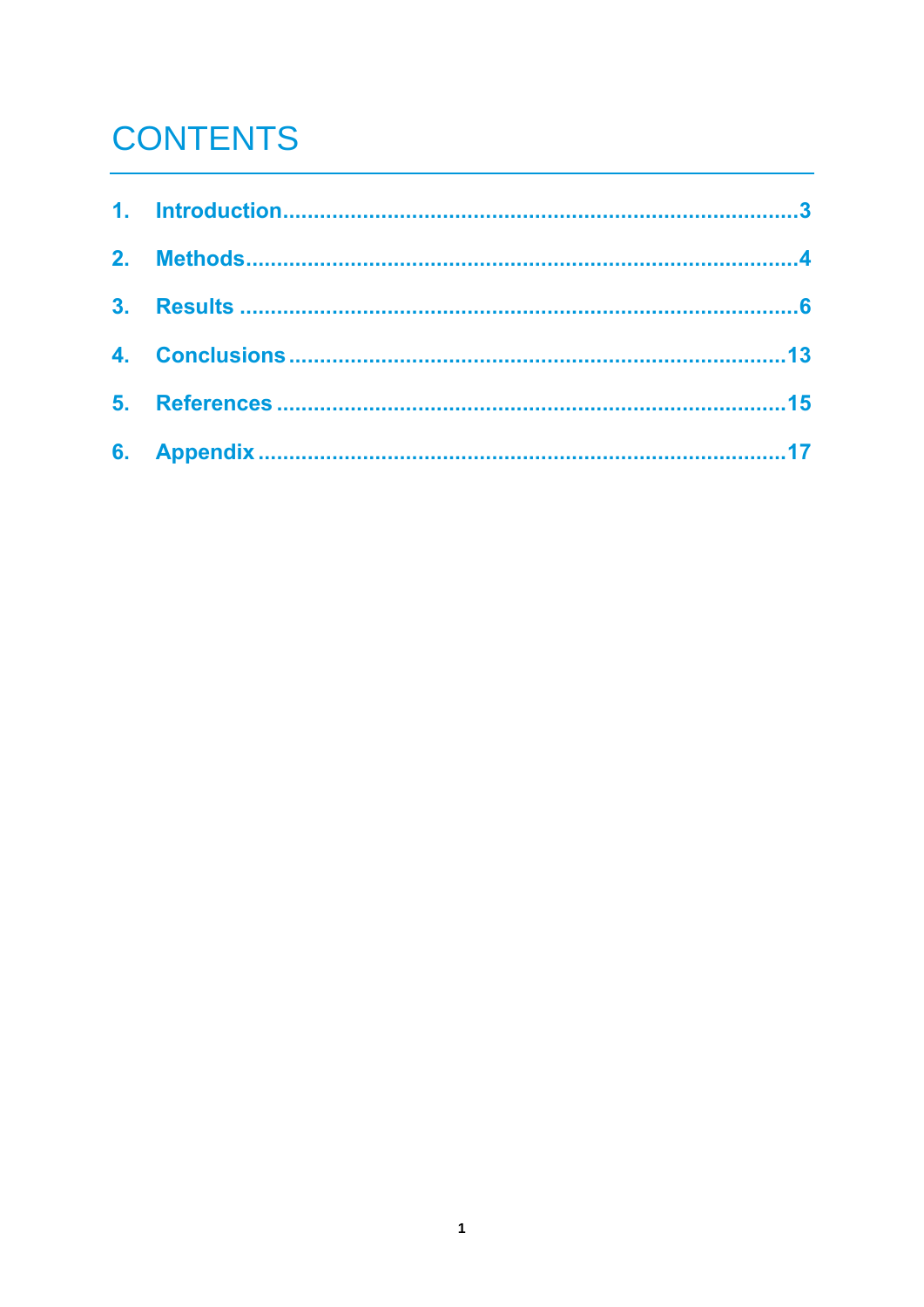## **CONTENTS**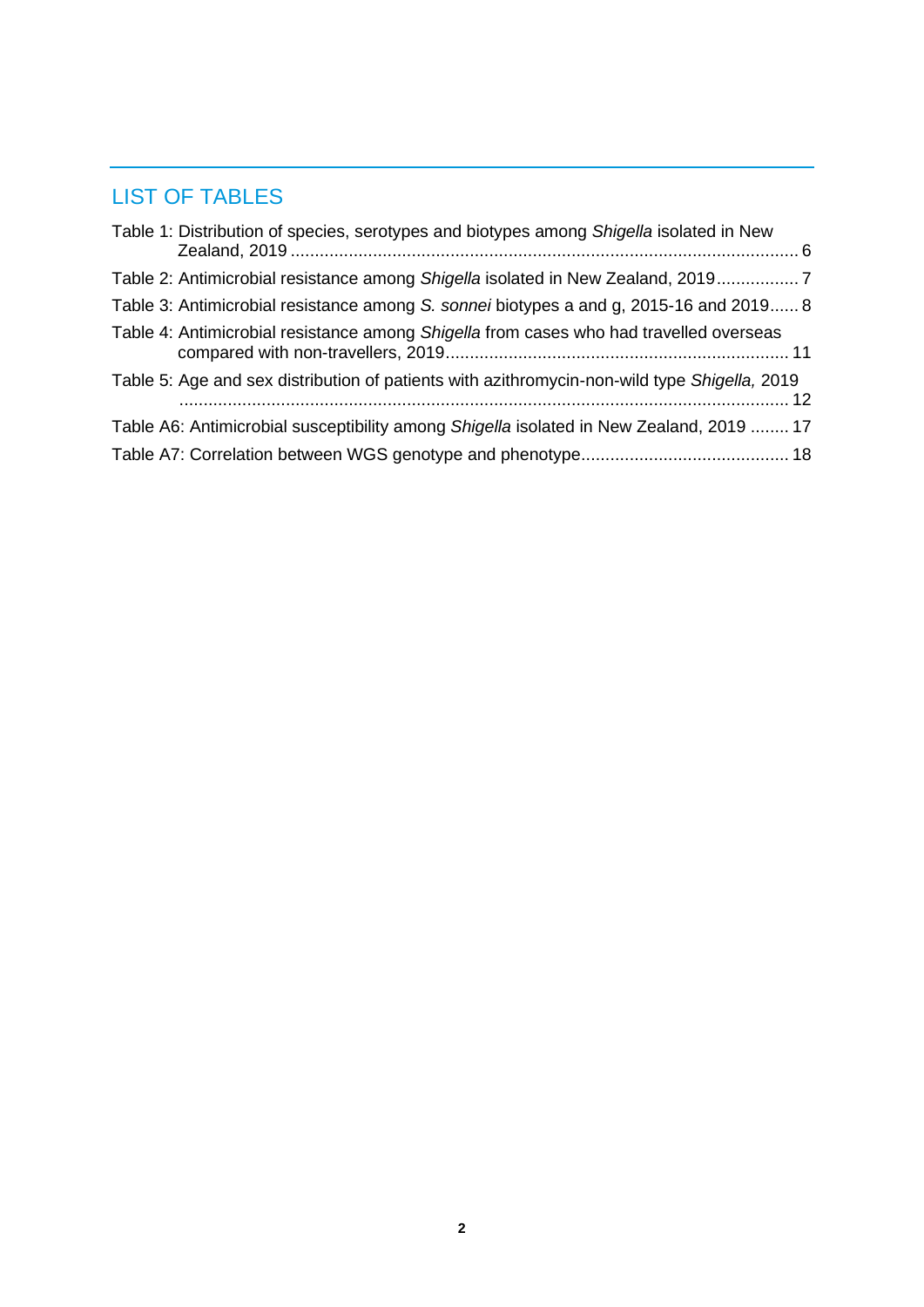#### LIST OF TABLES

| Table 1: Distribution of species, serotypes and biotypes among Shigella isolated in New      |
|----------------------------------------------------------------------------------------------|
| Table 2: Antimicrobial resistance among Shigella isolated in New Zealand, 2019               |
| Table 3: Antimicrobial resistance among S. sonnei biotypes a and g, 2015-16 and 2019 8       |
| Table 4: Antimicrobial resistance among Shigella from cases who had travelled overseas       |
| Table 5: Age and sex distribution of patients with azithromycin-non-wild type Shigella, 2019 |
| Table A6: Antimicrobial susceptibility among Shigella isolated in New Zealand, 2019  17      |
|                                                                                              |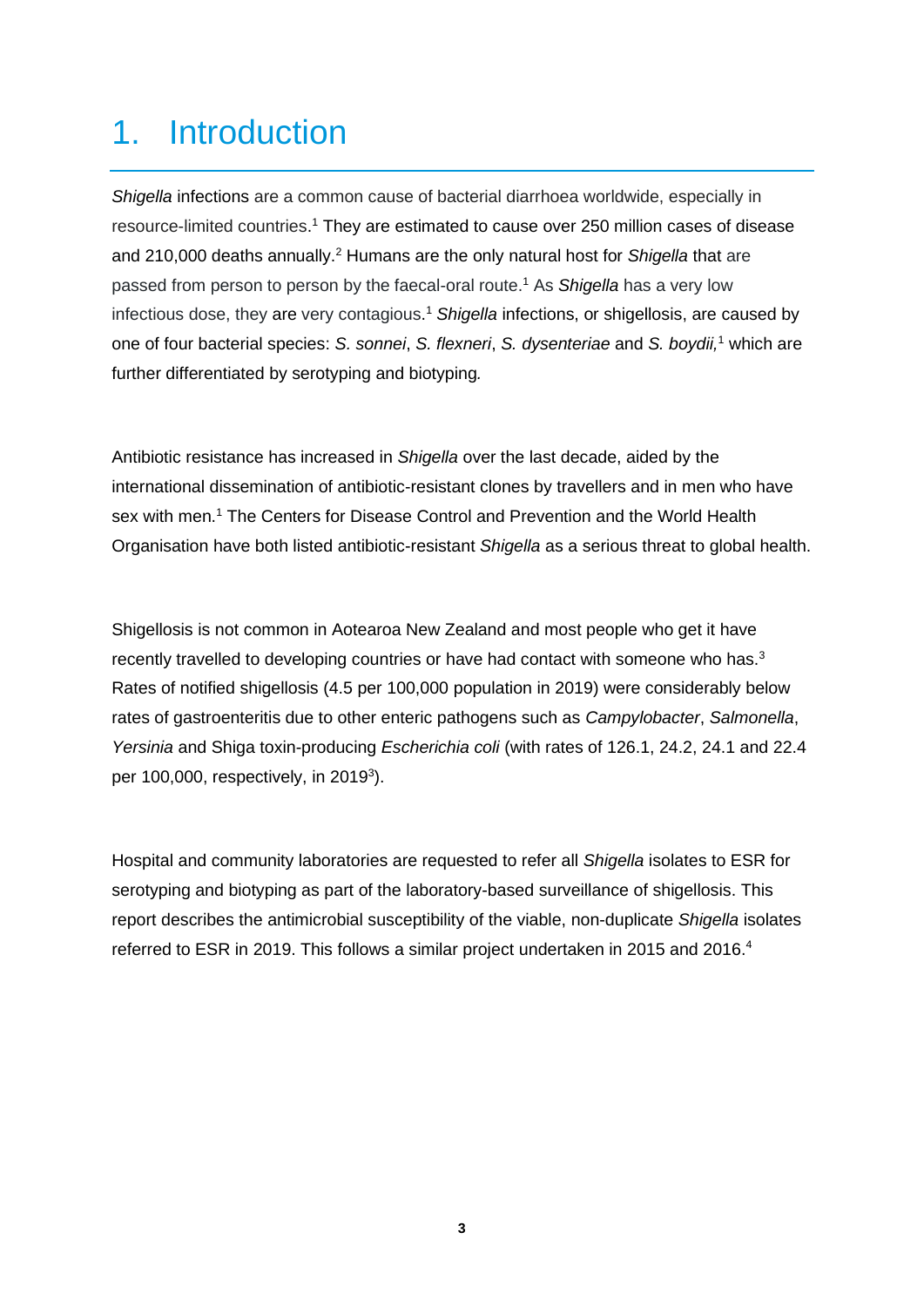#### 1. Introduction

*Shigella* infections are a common cause of bacterial diarrhoea worldwide, especially in resource-limited countries. <sup>1</sup> They are estimated to cause over 250 million cases of disease and 210,000 deaths annually.<sup>2</sup> Humans are the only natural host for *Shigella* that are passed from person to person by the faecal-oral route. <sup>1</sup> As *Shigella* has a very low infectious dose, they are very contagious. <sup>1</sup> *Shigella* infections, or shigellosis, are caused by one of four bacterial species: *S. sonnei*, *S. flexneri*, *S. dysenteriae* and *S. boydii,* <sup>1</sup> which are further differentiated by serotyping and biotyping*.* 

Antibiotic resistance has increased in *Shigella* over the last decade, aided by the international dissemination of antibiotic-resistant clones by travellers and in men who have sex with men.<sup>1</sup> The Centers for Disease Control and Prevention and the World Health Organisation have both listed antibiotic-resistant *Shigella* as a serious threat to global health.

Shigellosis is not common in Aotearoa New Zealand and most people who get it have recently travelled to developing countries or have had contact with someone who has.<sup>3</sup> Rates of notified shigellosis (4.5 per 100,000 population in 2019) were considerably below rates of gastroenteritis due to other enteric pathogens such as *Campylobacter*, *Salmonella*, *Yersinia* and Shiga toxin-producing *Escherichia coli* (with rates of 126.1, 24.2, 24.1 and 22.4 per 100,000, respectively, in 2019 3 ).

Hospital and community laboratories are requested to refer all *Shigella* isolates to ESR for serotyping and biotyping as part of the laboratory-based surveillance of shigellosis. This report describes the antimicrobial susceptibility of the viable, non-duplicate *Shigella* isolates referred to ESR in 2019. This follows a similar project undertaken in 2015 and 2016.<sup>4</sup>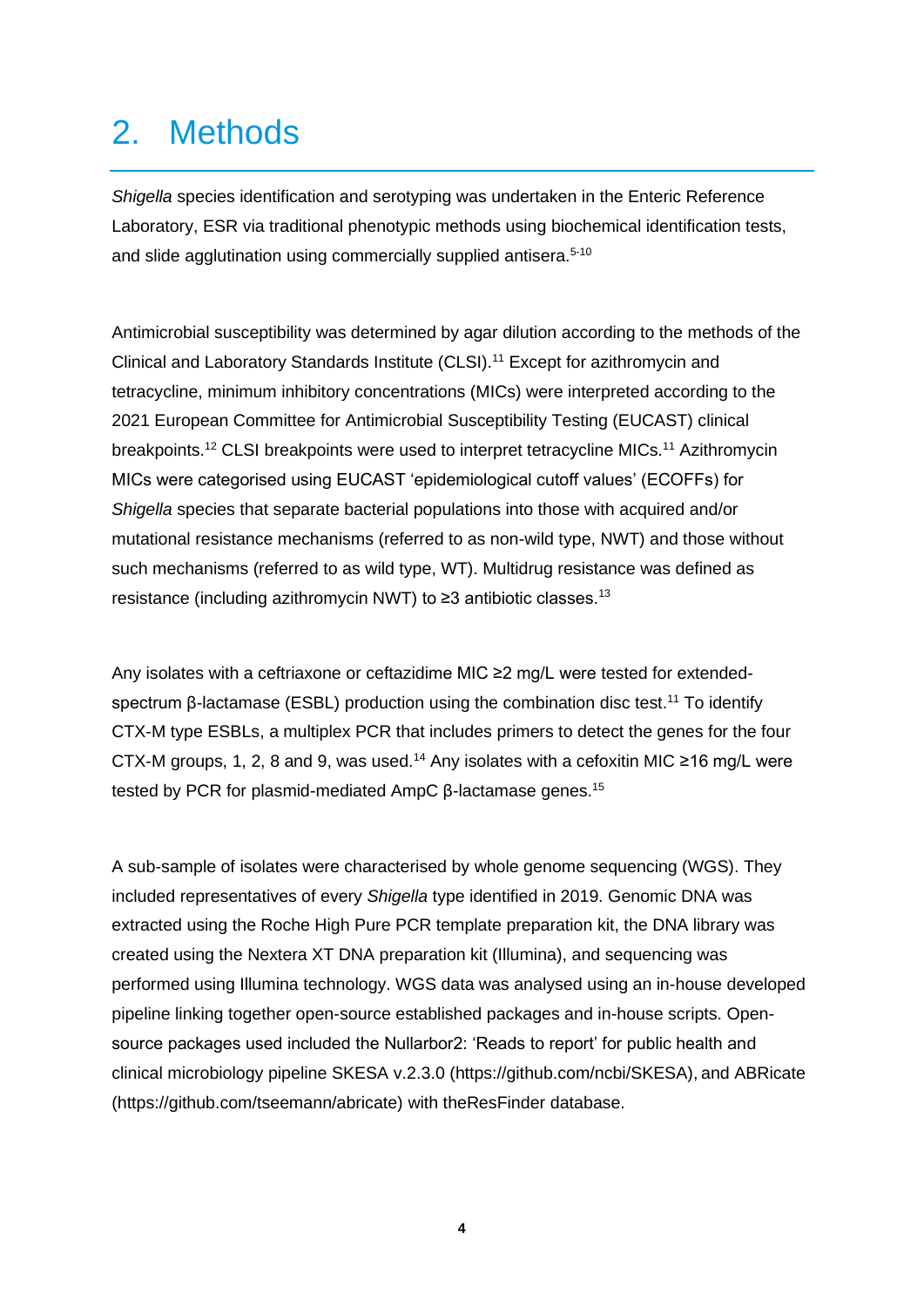#### 2. Methods

*Shigella* species identification and serotyping was undertaken in the Enteric Reference Laboratory, ESR via traditional phenotypic methods using biochemical identification tests, and slide agglutination using commercially supplied antisera.<sup>5-10</sup>

Antimicrobial susceptibility was determined by agar dilution according to the methods of the Clinical and Laboratory Standards Institute (CLSI).<sup>11</sup> Except for azithromycin and tetracycline, minimum inhibitory concentrations (MICs) were interpreted according to the 2021 European Committee for Antimicrobial Susceptibility Testing (EUCAST) clinical breakpoints.<sup>12</sup> CLSI breakpoints were used to interpret tetracycline MICs.<sup>11</sup> Azithromycin MICs were categorised using EUCAST 'epidemiological cutoff values' (ECOFFs) for *Shigella* species that separate bacterial populations into those with acquired and/or mutational resistance mechanisms (referred to as non-wild type, NWT) and those without such mechanisms (referred to as wild type, WT). Multidrug resistance was defined as resistance (including azithromycin NWT) to  $\geq$ 3 antibiotic classes.<sup>13</sup>

Any isolates with a ceftriaxone or ceftazidime MIC ≥2 mg/L were tested for extendedspectrum β-lactamase (ESBL) production using the combination disc test.<sup>11</sup> To identify CTX-M type ESBLs, a multiplex PCR that includes primers to detect the genes for the four CTX-M groups, 1, 2, 8 and 9, was used.<sup>14</sup> Any isolates with a cefoxitin MIC ≥16 mg/L were tested by PCR for plasmid-mediated AmpC β-lactamase genes.<sup>15</sup>

A sub-sample of isolates were characterised by whole genome sequencing (WGS). They included representatives of every *Shigella* type identified in 2019. Genomic DNA was extracted using the Roche High Pure PCR template preparation kit, the DNA library was created using the Nextera XT DNA preparation kit (Illumina), and sequencing was performed using Illumina technology. WGS data was analysed using an in-house developed pipeline linking together open-source established packages and in-house scripts. Opensource packages used included the Nullarbor2: 'Reads to report' for public health and clinical microbiology pipeline SKESA v.2.3.0 (https://github.com/ncbi/SKESA), and ABRicate (https://github.com/tseemann/abricate) with theResFinder database.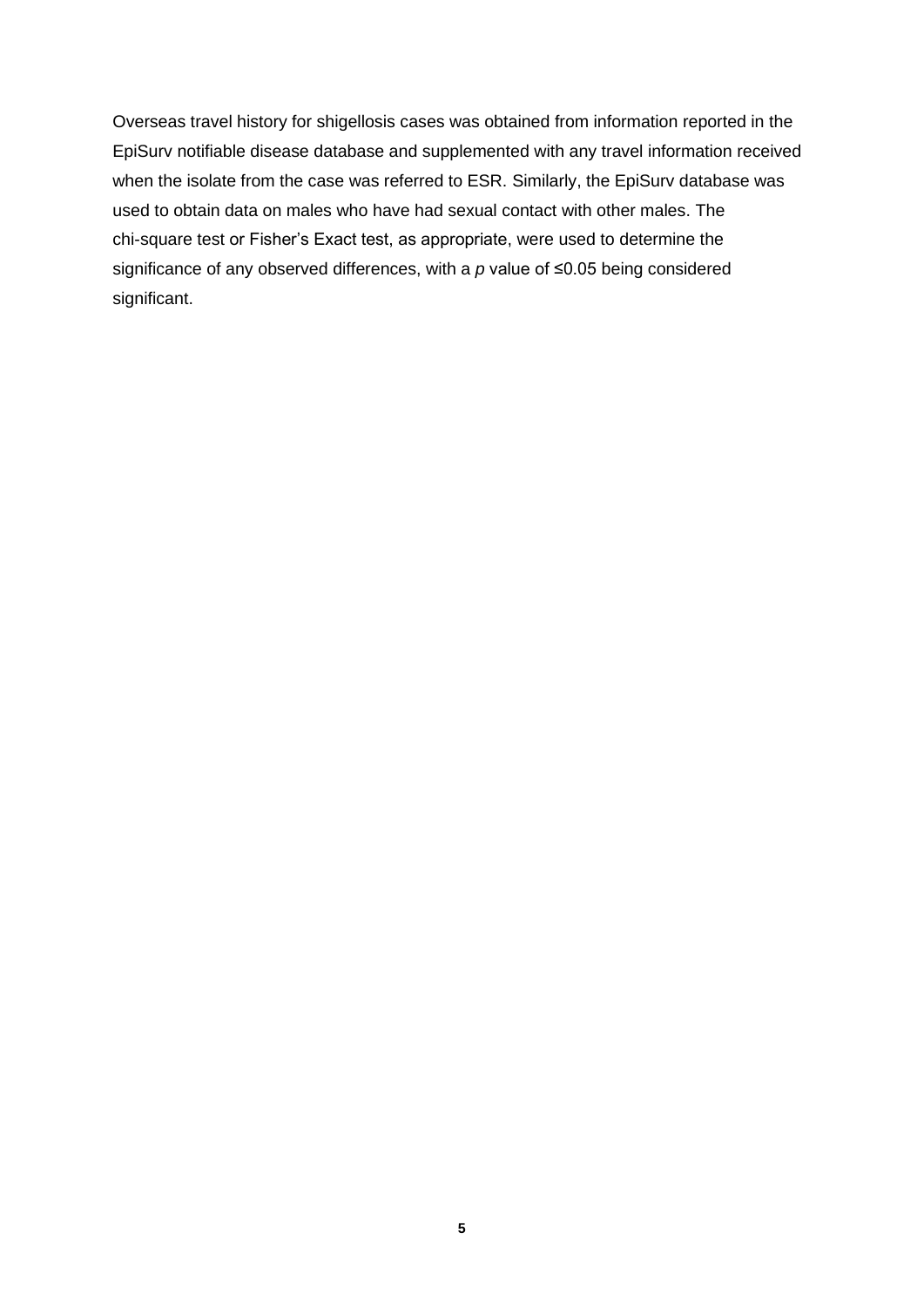Overseas travel history for shigellosis cases was obtained from information reported in the EpiSurv notifiable disease database and supplemented with any travel information received when the isolate from the case was referred to ESR. Similarly, the EpiSurv database was used to obtain data on males who have had sexual contact with other males. The chi-square test or Fisher's Exact test, as appropriate, were used to determine the significance of any observed differences, with a *p* value of ≤0.05 being considered significant.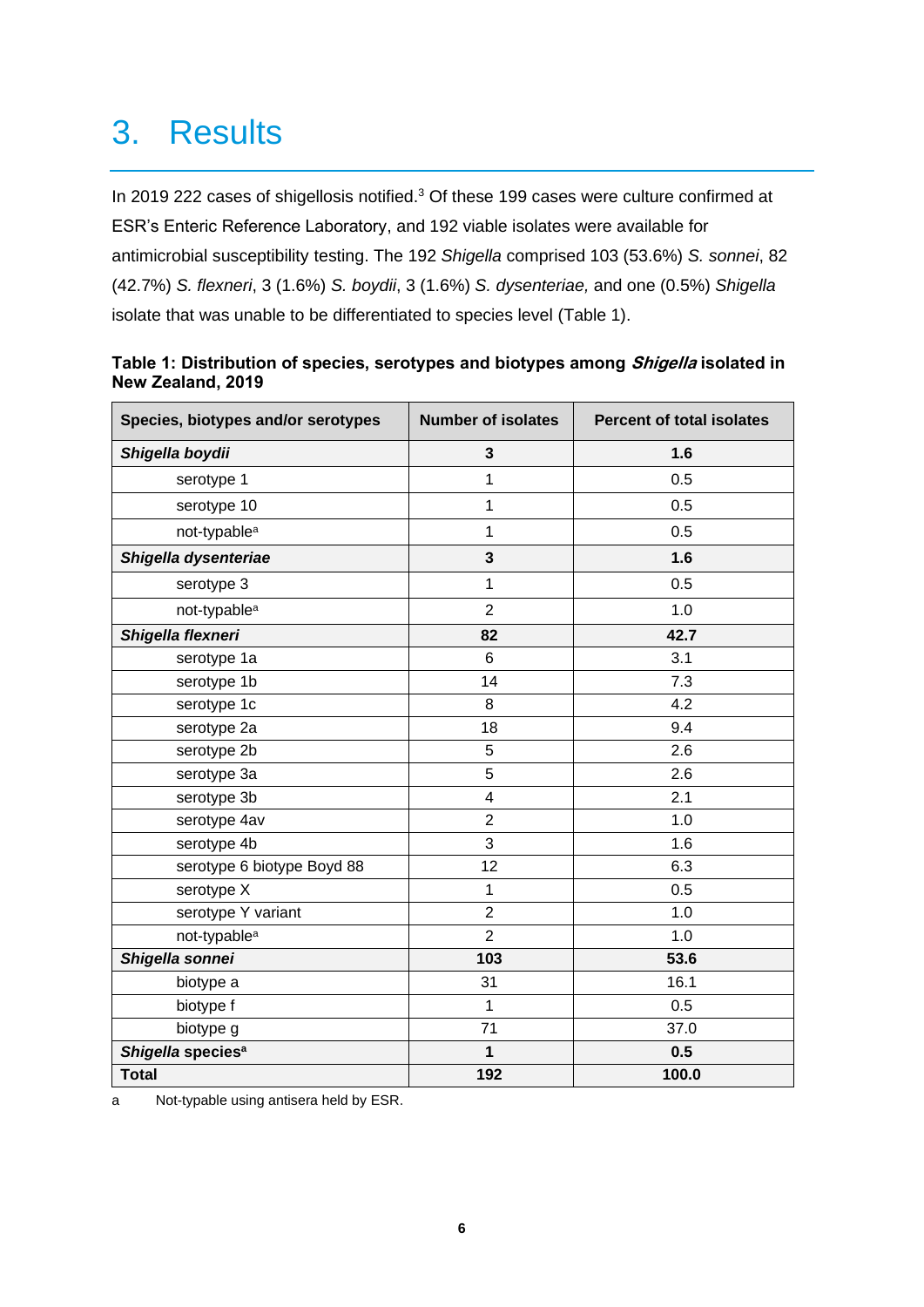#### 3. Results

In 2019 222 cases of shigellosis notified.<sup>3</sup> Of these 199 cases were culture confirmed at ESR's Enteric Reference Laboratory, and 192 viable isolates were available for antimicrobial susceptibility testing. The 192 *Shigella* comprised 103 (53.6%) *S. sonnei*, 82 (42.7%) *S. flexneri*, 3 (1.6%) *S. boydii*, 3 (1.6%) *S. dysenteriae,* and one (0.5%) *Shigella* isolate that was unable to be differentiated to species level (Table 1).

| Species, biotypes and/or serotypes | <b>Number of isolates</b> | <b>Percent of total isolates</b> |
|------------------------------------|---------------------------|----------------------------------|
| Shigella boydii                    | 3                         | 1.6                              |
| serotype 1                         | 1                         | 0.5                              |
| serotype 10                        | 1                         | 0.5                              |
| not-typable <sup>a</sup>           | 1                         | 0.5                              |
| Shigella dysenteriae               | $\mathbf{3}$              | 1.6                              |
| serotype 3                         | 1                         | 0.5                              |
| not-typable <sup>a</sup>           | $\overline{2}$            | 1.0                              |
| Shigella flexneri                  | 82                        | 42.7                             |
| serotype 1a                        | 6                         | 3.1                              |
| serotype 1b                        | 14                        | 7.3                              |
| serotype 1c                        | 8                         | 4.2                              |
| serotype 2a                        | 18                        | 9.4                              |
| serotype 2b                        | 5                         | 2.6                              |
| serotype 3a                        | 5                         | 2.6                              |
| serotype 3b                        | 4                         | 2.1                              |
| serotype 4av                       | $\overline{2}$            | 1.0                              |
| serotype 4b                        | 3                         | 1.6                              |
| serotype 6 biotype Boyd 88         | 12                        | 6.3                              |
| serotype X                         | 1                         | 0.5                              |
| serotype Y variant                 | $\overline{2}$            | 1.0                              |
| not-typable <sup>a</sup>           | $\overline{2}$            | 1.0                              |
| Shigella sonnei                    | 103                       | 53.6                             |
| biotype a                          | 31                        | 16.1                             |
| biotype f                          | 1                         | 0.5                              |
| biotype g                          | 71                        | 37.0                             |
| Shigella species <sup>a</sup>      | 1                         | 0.5                              |
| <b>Total</b>                       | 192                       | 100.0                            |

<span id="page-7-0"></span>

| Table 1: Distribution of species, serotypes and biotypes among <i>Shigella</i> isolated in |  |
|--------------------------------------------------------------------------------------------|--|
| New Zealand, 2019                                                                          |  |

a Not-typable using antisera held by ESR.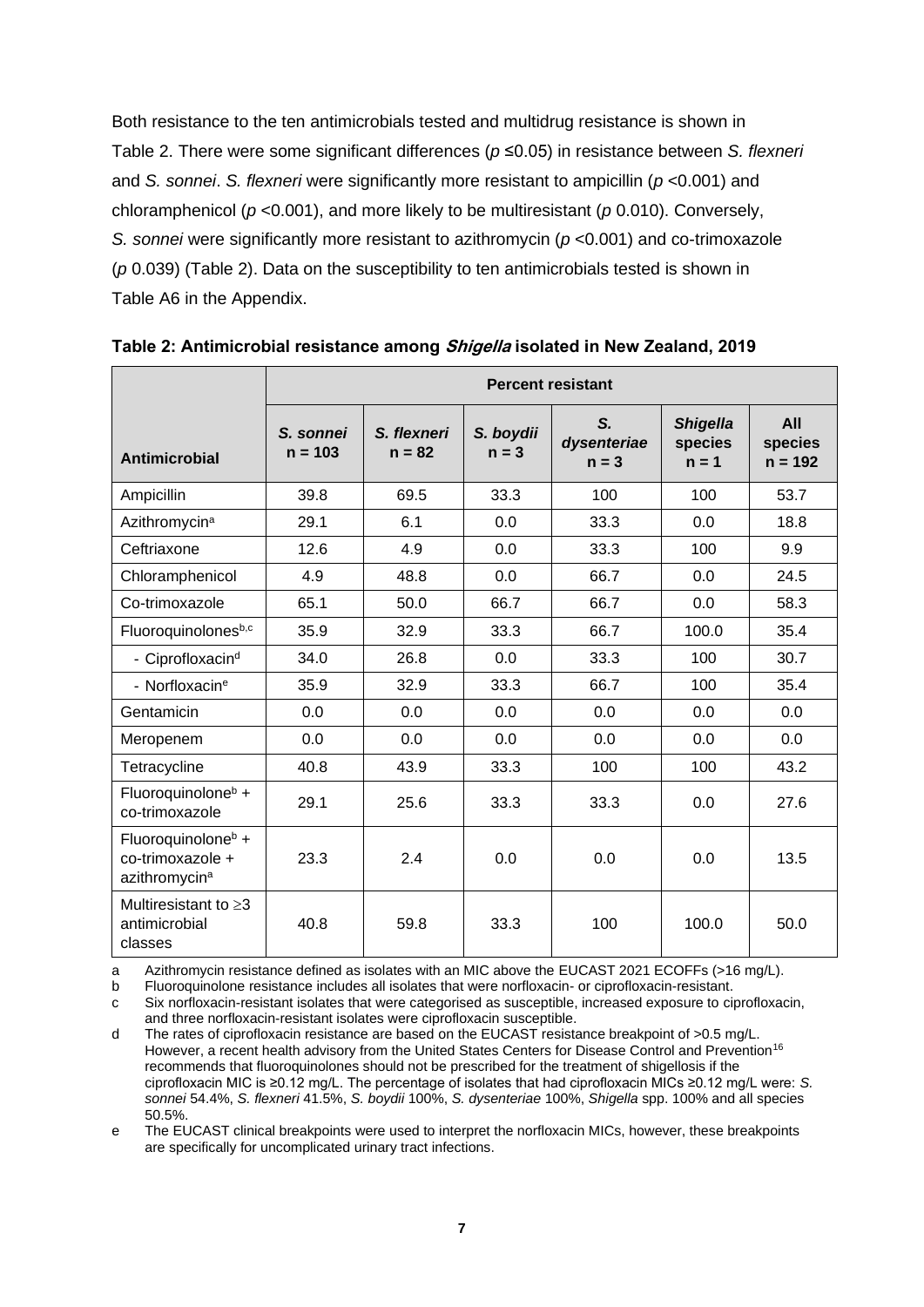Both resistance to the ten antimicrobials tested and multidrug resistance is shown in Table 2. There were some significant differences (*p* ≤0.05) in resistance between *S. flexneri* and *S. sonnei*. *S. flexneri* were significantly more resistant to ampicillin (*p* <0.001) and chloramphenicol (*p* <0.001), and more likely to be multiresistant (*p* 0.010). Conversely, *S. sonnei* were significantly more resistant to azithromycin (*p* <0.001) and co-trimoxazole (*p* 0.039) (Table 2). Data on the susceptibility to ten antimicrobials tested is shown in Table A6 in the Appendix.

|                                                                                 | <b>Percent resistant</b> |                         |                      |                              |                                       |                             |
|---------------------------------------------------------------------------------|--------------------------|-------------------------|----------------------|------------------------------|---------------------------------------|-----------------------------|
| Antimicrobial                                                                   | S. sonnei<br>$n = 103$   | S. flexneri<br>$n = 82$ | S. boydii<br>$n = 3$ | S.<br>dysenteriae<br>$n = 3$ | <b>Shigella</b><br>species<br>$n = 1$ | All<br>species<br>$n = 192$ |
| Ampicillin                                                                      | 39.8                     | 69.5                    | 33.3                 | 100                          | 100                                   | 53.7                        |
| Azithromycin <sup>a</sup>                                                       | 29.1                     | 6.1                     | 0.0                  | 33.3                         | 0.0                                   | 18.8                        |
| Ceftriaxone                                                                     | 12.6                     | 4.9                     | 0.0                  | 33.3                         | 100                                   | 9.9                         |
| Chloramphenicol                                                                 | 4.9                      | 48.8                    | 0.0                  | 66.7                         | 0.0                                   | 24.5                        |
| Co-trimoxazole                                                                  | 65.1                     | 50.0                    | 66.7                 | 66.7                         | 0.0                                   | 58.3                        |
| Fluoroquinolonesb,c                                                             | 35.9                     | 32.9                    | 33.3                 | 66.7                         | 100.0                                 | 35.4                        |
| - Ciprofloxacin <sup>d</sup>                                                    | 34.0                     | 26.8                    | 0.0                  | 33.3                         | 100                                   | 30.7                        |
| - Norfloxacin <sup>e</sup>                                                      | 35.9                     | 32.9                    | 33.3                 | 66.7                         | 100                                   | 35.4                        |
| Gentamicin                                                                      | 0.0                      | 0.0                     | 0.0                  | 0.0                          | 0.0                                   | 0.0                         |
| Meropenem                                                                       | 0.0                      | 0.0                     | 0.0                  | 0.0                          | 0.0                                   | 0.0                         |
| Tetracycline                                                                    | 40.8                     | 43.9                    | 33.3                 | 100                          | 100                                   | 43.2                        |
| Fluoroquinolone <sup>b</sup> +<br>co-trimoxazole                                | 29.1                     | 25.6                    | 33.3                 | 33.3                         | 0.0                                   | 27.6                        |
| Fluoroquinolone <sup>b</sup> +<br>co-trimoxazole +<br>azithromycin <sup>a</sup> | 23.3                     | 2.4                     | 0.0                  | 0.0                          | 0.0                                   | 13.5                        |
| Multiresistant to $\geq$ 3<br>antimicrobial<br>classes                          | 40.8                     | 59.8                    | 33.3                 | 100                          | 100.0                                 | 50.0                        |

<span id="page-8-0"></span>**Table 2: Antimicrobial resistance among Shigella isolated in New Zealand, 2019**

a Azithromycin resistance defined as isolates with an MIC above the EUCAST 2021 ECOFFs (>16 mg/L).

b Fluoroquinolone resistance includes all isolates that were norfloxacin- or ciprofloxacin-resistant.

c Six norfloxacin-resistant isolates that were categorised as susceptible, increased exposure to ciprofloxacin, and three norfloxacin-resistant isolates were ciprofloxacin susceptible.

d The rates of ciprofloxacin resistance are based on the EUCAST resistance breakpoint of >0.5 mg/L. However, a recent health advisory from the United States Centers for Disease Control and Prevention<sup>16</sup> recommends that fluoroquinolones should not be prescribed for the treatment of shigellosis if the ciprofloxacin MIC is ≥0.12 mg/L. The percentage of isolates that had ciprofloxacin MICs ≥0.12 mg/L were: *S. sonnei* 54.4%, *S. flexneri* 41.5%, *S. boydii* 100%, *S. dysenteriae* 100%, *Shigella* spp. 100% and all species 50.5%.

e The EUCAST clinical breakpoints were used to interpret the norfloxacin MICs, however, these breakpoints are specifically for uncomplicated urinary tract infections.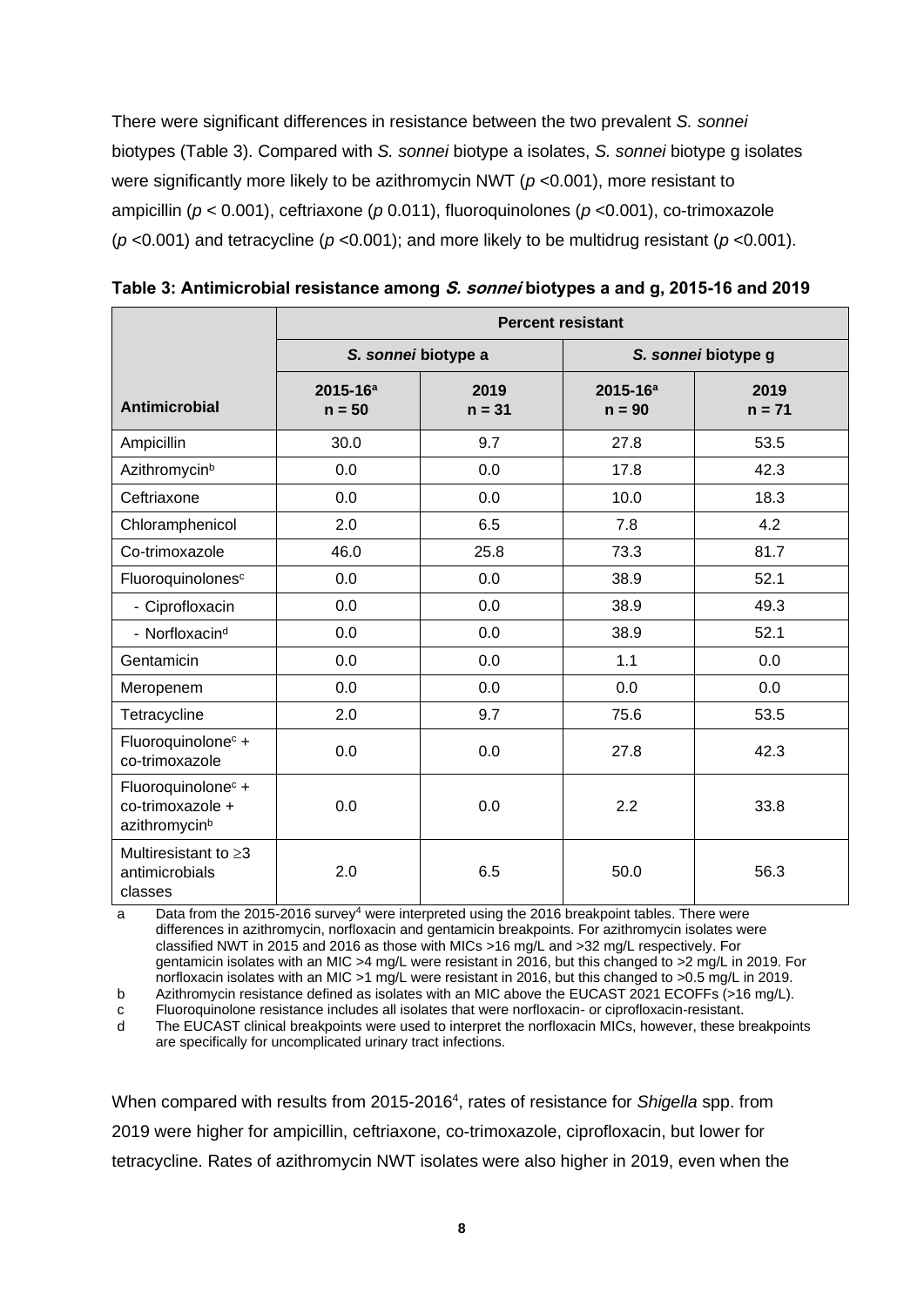There were significant differences in resistance between the two prevalent *S. sonnei* biotypes (Table 3). Compared with *S. sonnei* biotype a isolates, *S. sonnei* biotype g isolates were significantly more likely to be azithromycin NWT (*p* <0.001), more resistant to ampicillin (*p* < 0.001), ceftriaxone (*p* 0.011), fluoroquinolones (*p* <0.001), co-trimoxazole (*p* <0.001) and tetracycline (*p* <0.001); and more likely to be multidrug resistant (*p* <0.001).

|                                                                                 | <b>Percent resistant</b>  |                     |                           |                  |  |  |
|---------------------------------------------------------------------------------|---------------------------|---------------------|---------------------------|------------------|--|--|
|                                                                                 |                           | S. sonnei biotype a | S. sonnei biotype g       |                  |  |  |
| <b>Antimicrobial</b>                                                            | $2015 - 16^a$<br>$n = 50$ | 2019<br>$n = 31$    | $2015 - 16^a$<br>$n = 90$ | 2019<br>$n = 71$ |  |  |
| Ampicillin                                                                      | 30.0                      | 9.7                 | 27.8                      | 53.5             |  |  |
| Azithromycin <sup>b</sup>                                                       | 0.0                       | 0.0                 | 17.8                      | 42.3             |  |  |
| Ceftriaxone                                                                     | 0.0                       | 0.0                 | 10.0                      | 18.3             |  |  |
| Chloramphenicol                                                                 | 2.0                       | 6.5                 | 7.8                       | 4.2              |  |  |
| Co-trimoxazole                                                                  | 46.0                      | 25.8                | 73.3                      | 81.7             |  |  |
| Fluoroquinolones <sup>c</sup>                                                   | 0.0                       | 0.0                 | 38.9                      | 52.1             |  |  |
| - Ciprofloxacin                                                                 | 0.0                       | 0.0                 | 38.9                      | 49.3             |  |  |
| - Norfloxacin <sup>d</sup>                                                      | 0.0                       | 0.0                 | 38.9                      | 52.1             |  |  |
| Gentamicin                                                                      | 0.0                       | 0.0                 | 1.1                       | 0.0              |  |  |
| Meropenem                                                                       | 0.0                       | 0.0                 | 0.0                       | 0.0              |  |  |
| Tetracycline                                                                    | 2.0                       | 9.7                 | 75.6                      | 53.5             |  |  |
| Fluoroquinolone <sup>c</sup> +<br>co-trimoxazole                                | 0.0                       | 0.0                 | 27.8                      | 42.3             |  |  |
| Fluoroquinolone <sup>c</sup> +<br>co-trimoxazole +<br>azithromycin <sup>b</sup> | 0.0                       | 0.0                 | 2.2                       | 33.8             |  |  |
| Multiresistant to $\geq$ 3<br>antimicrobials<br>classes                         | 2.0                       | 6.5                 | 50.0                      | 56.3             |  |  |

<span id="page-9-0"></span>**Table 3: Antimicrobial resistance among S. sonnei biotypes a and g, 2015-16 and 2019**

a Data from the 2015-2016 survey<sup>4</sup> were interpreted using the 2016 breakpoint tables. There were differences in azithromycin, norfloxacin and gentamicin breakpoints. For azithromycin isolates were classified NWT in 2015 and 2016 as those with MICs >16 mg/L and >32 mg/L respectively. For gentamicin isolates with an MIC >4 mg/L were resistant in 2016, but this changed to >2 mg/L in 2019. For norfloxacin isolates with an MIC > 1 mg/L were resistant in 2016, but this changed to > 0.5 mg/L in 2019.

b Azithromycin resistance defined as isolates with an MIC above the EUCAST 2021 ECOFFs (>16 mg/L).

c Fluoroquinolone resistance includes all isolates that were norfloxacin- or ciprofloxacin-resistant.

d The EUCAST clinical breakpoints were used to interpret the norfloxacin MICs, however, these breakpoints are specifically for uncomplicated urinary tract infections.

When compared with results from 2015-2016<sup>4</sup>, rates of resistance for *Shigella* spp. from 2019 were higher for ampicillin, ceftriaxone, co-trimoxazole, ciprofloxacin, but lower for tetracycline. Rates of azithromycin NWT isolates were also higher in 2019, even when the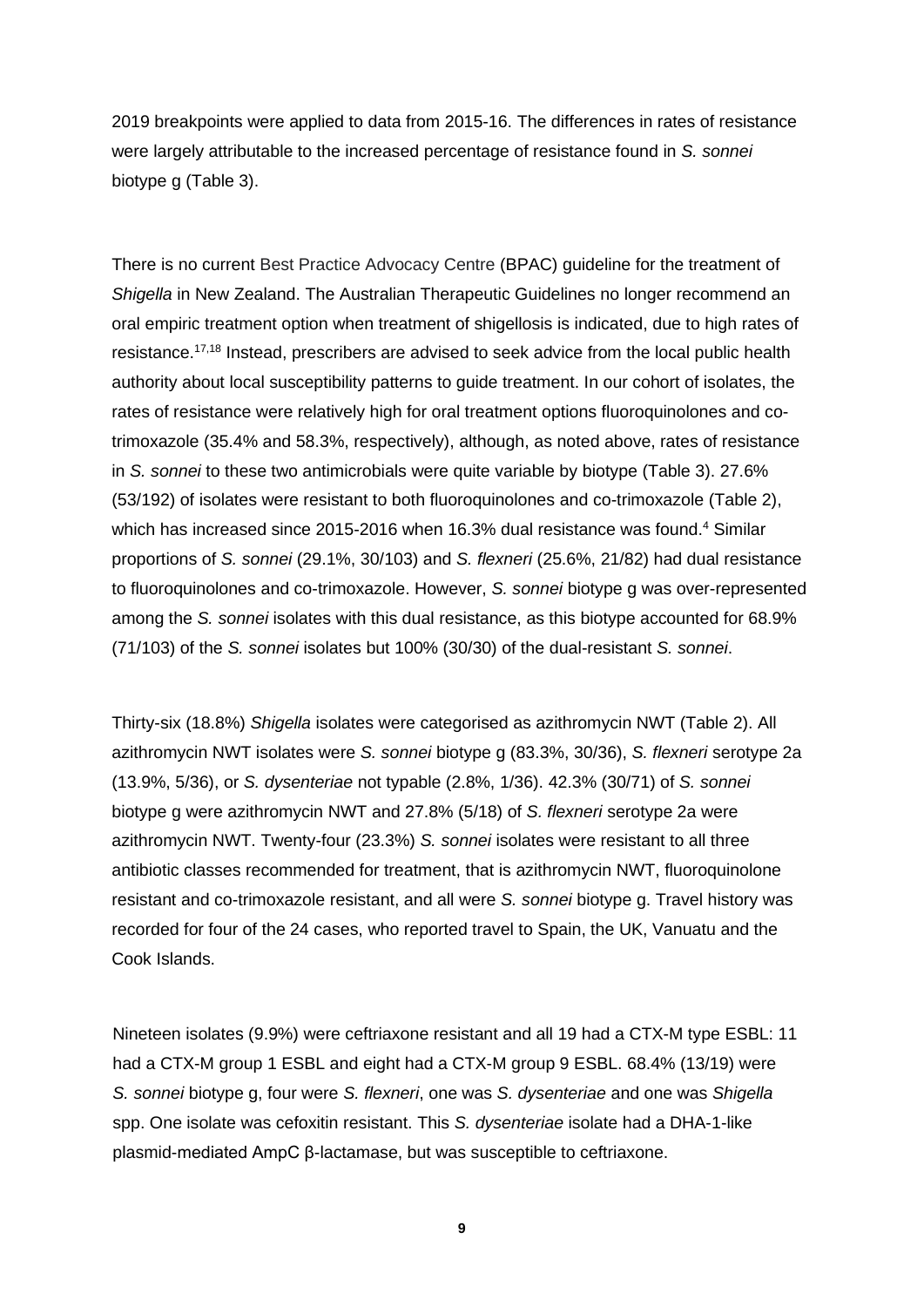2019 breakpoints were applied to data from 2015-16. The differences in rates of resistance were largely attributable to the increased percentage of resistance found in *S. sonnei*  biotype g (Table 3).

There is no current Best Practice Advocacy Centre (BPAC) guideline for the treatment of *Shigella* in New Zealand. The Australian Therapeutic Guidelines no longer recommend an oral empiric treatment option when treatment of shigellosis is indicated, due to high rates of resistance.<sup>17,18</sup> Instead, prescribers are advised to seek advice from the local public health authority about local susceptibility patterns to guide treatment. In our cohort of isolates, the rates of resistance were relatively high for oral treatment options fluoroquinolones and cotrimoxazole (35.4% and 58.3%, respectively), although, as noted above, rates of resistance in *S. sonnei* to these two antimicrobials were quite variable by biotype (Table 3). 27.6% (53/192) of isolates were resistant to both fluoroquinolones and co-trimoxazole (Table 2), which has increased since 2015-2016 when 16.3% dual resistance was found.<sup>4</sup> Similar proportions of *S. sonnei* (29.1%, 30/103) and *S. flexneri* (25.6%, 21/82) had dual resistance to fluoroquinolones and co-trimoxazole. However, *S. sonnei* biotype g was over-represented among the *S. sonnei* isolates with this dual resistance, as this biotype accounted for 68.9% (71/103) of the *S. sonnei* isolates but 100% (30/30) of the dual-resistant *S. sonnei*.

Thirty-six (18.8%) *Shigella* isolates were categorised as azithromycin NWT (Table 2). All azithromycin NWT isolates were *S. sonnei* biotype g (83.3%, 30/36), *S. flexneri* serotype 2a (13.9%, 5/36), or *S. dysenteriae* not typable (2.8%, 1/36). 42.3% (30/71) of *S. sonnei* biotype g were azithromycin NWT and 27.8% (5/18) of *S. flexneri* serotype 2a were azithromycin NWT. Twenty-four (23.3%) *S. sonnei* isolates were resistant to all three antibiotic classes recommended for treatment, that is azithromycin NWT, fluoroquinolone resistant and co-trimoxazole resistant, and all were *S. sonnei* biotype g. Travel history was recorded for four of the 24 cases, who reported travel to Spain, the UK, Vanuatu and the Cook Islands.

Nineteen isolates (9.9%) were ceftriaxone resistant and all 19 had a CTX-M type ESBL: 11 had a CTX-M group 1 ESBL and eight had a CTX-M group 9 ESBL. 68.4% (13/19) were *S. sonnei* biotype g, four were *S. flexneri*, one was *S. dysenteriae* and one was *Shigella* spp. One isolate was cefoxitin resistant. This *S. dysenteriae* isolate had a DHA-1-like plasmid-mediated AmpC β-lactamase, but was susceptible to ceftriaxone.

**9**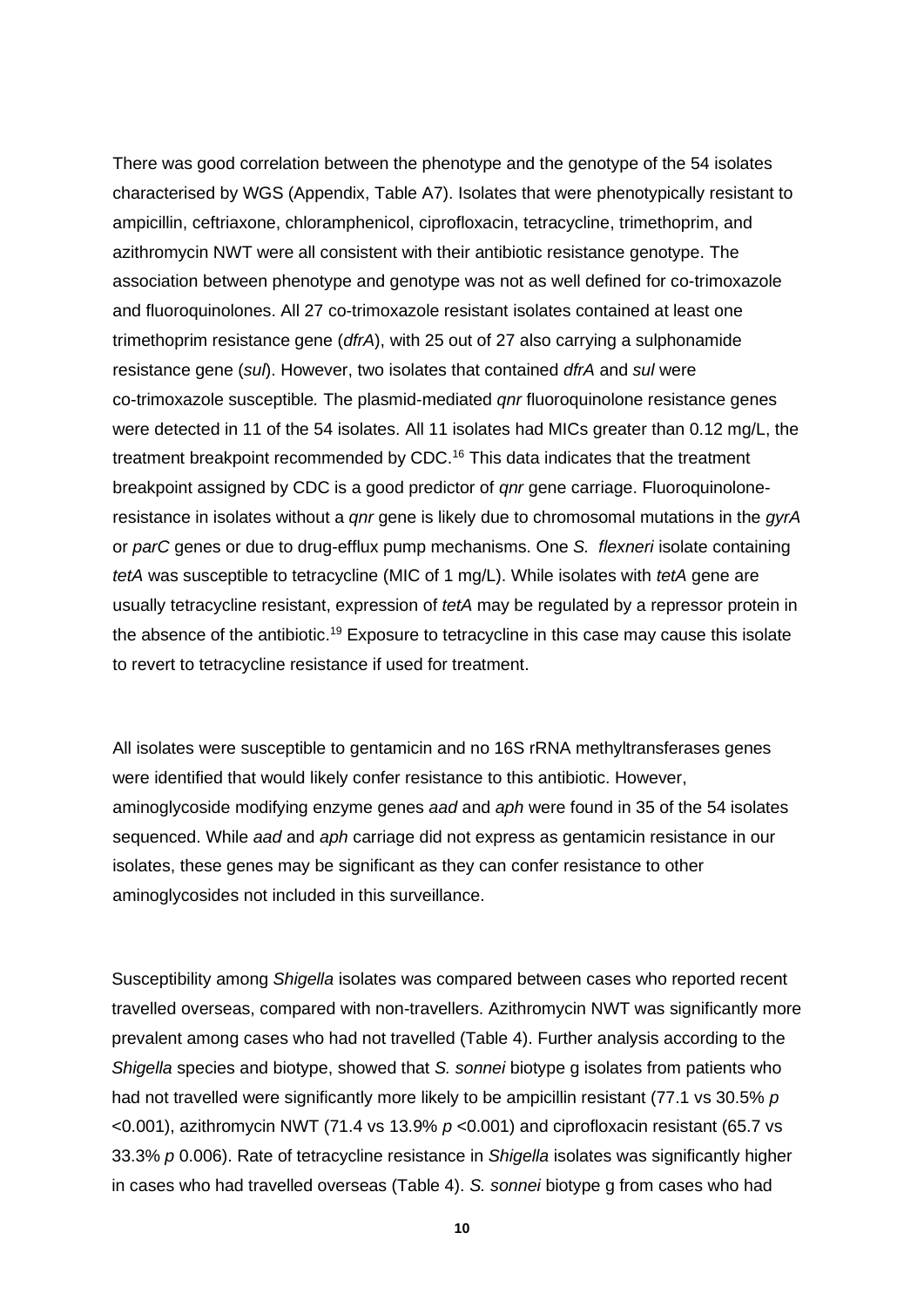There was good correlation between the phenotype and the genotype of the 54 isolates characterised by WGS (Appendix, Table A7). Isolates that were phenotypically resistant to ampicillin, ceftriaxone, chloramphenicol, ciprofloxacin, tetracycline, trimethoprim, and azithromycin NWT were all consistent with their antibiotic resistance genotype. The association between phenotype and genotype was not as well defined for co-trimoxazole and fluoroquinolones. All 27 co-trimoxazole resistant isolates contained at least one trimethoprim resistance gene (*dfrA*), with 25 out of 27 also carrying a sulphonamide resistance gene (*sul*). However, two isolates that contained *dfrA* and *sul* were co-trimoxazole susceptible*.* The plasmid-mediated *qnr* fluoroquinolone resistance genes were detected in 11 of the 54 isolates. All 11 isolates had MICs greater than 0.12 mg/L, the treatment breakpoint recommended by CDC.<sup>16</sup> This data indicates that the treatment breakpoint assigned by CDC is a good predictor of *qnr* gene carriage. Fluoroquinoloneresistance in isolates without a *qnr* gene is likely due to chromosomal mutations in the *gyrA* or *parC* genes or due to drug-efflux pump mechanisms. One *S. flexneri* isolate containing *tetA* was susceptible to tetracycline (MIC of 1 mg/L). While isolates with *tetA* gene are usually tetracycline resistant, expression of *tetA* may be regulated by a repressor protein in the absence of the antibiotic.<sup>19</sup> Exposure to tetracycline in this case may cause this isolate to revert to tetracycline resistance if used for treatment.

All isolates were susceptible to gentamicin and no 16S rRNA methyltransferases genes were identified that would likely confer resistance to this antibiotic. However, aminoglycoside modifying enzyme genes *aad* and *aph* were found in 35 of the 54 isolates sequenced. While *aad* and *aph* carriage did not express as gentamicin resistance in our isolates, these genes may be significant as they can confer resistance to other aminoglycosides not included in this surveillance.

Susceptibility among *Shigella* isolates was compared between cases who reported recent travelled overseas, compared with non-travellers. Azithromycin NWT was significantly more prevalent among cases who had not travelled (Table 4). Further analysis according to the *Shigella* species and biotype, showed that *S. sonnei* biotype g isolates from patients who had not travelled were significantly more likely to be ampicillin resistant (77.1 vs 30.5% *p* <0.001), azithromycin NWT (71.4 vs 13.9% *p* <0.001) and ciprofloxacin resistant (65.7 vs 33.3% *p* 0.006). Rate of tetracycline resistance in *Shigella* isolates was significantly higher in cases who had travelled overseas (Table 4). *S. sonnei* biotype g from cases who had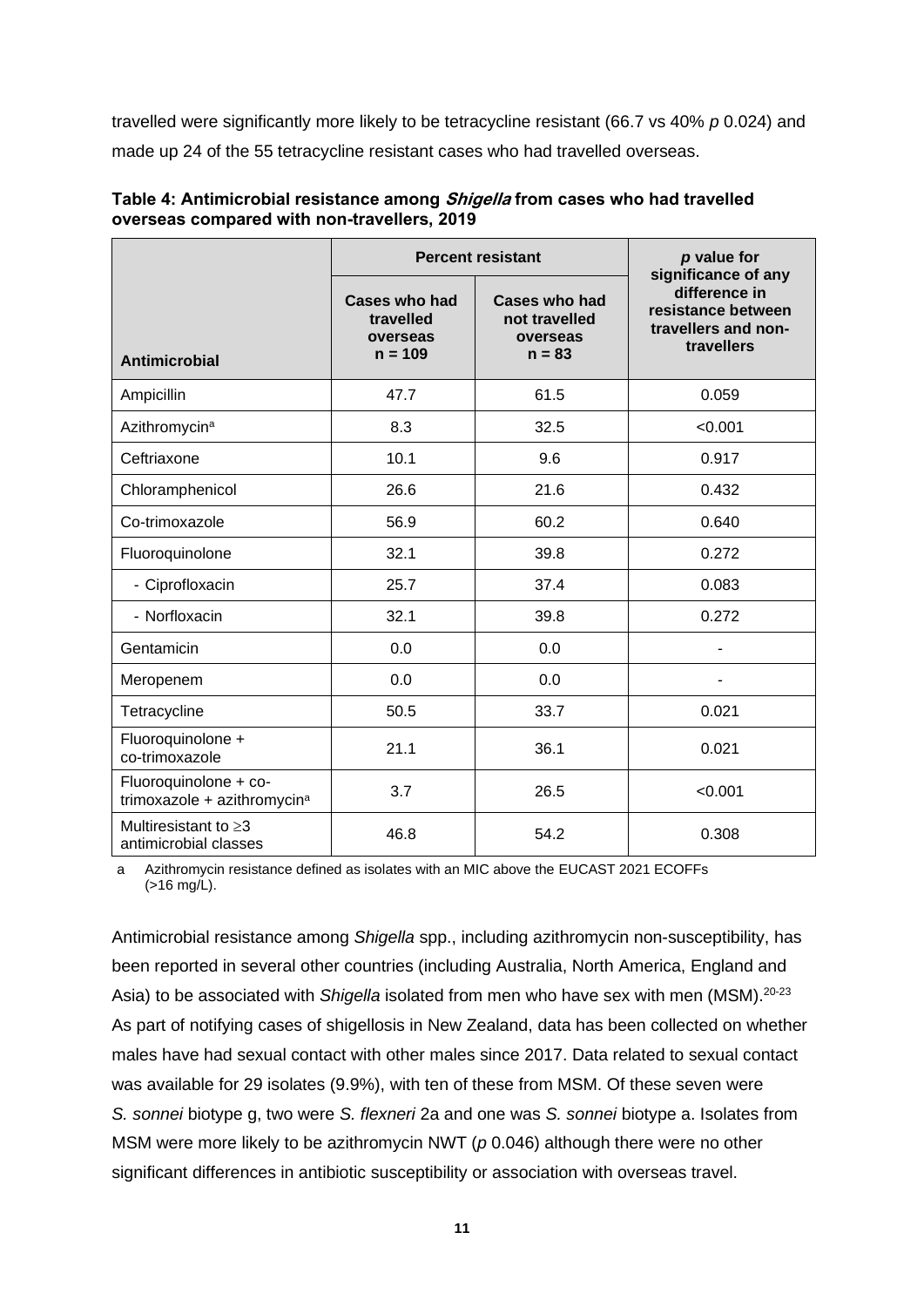travelled were significantly more likely to be tetracycline resistant (66.7 vs 40% *p* 0.024) and made up 24 of the 55 tetracycline resistant cases who had travelled overseas.

|                                                                  | <b>Percent resistant</b>                                   | p value for<br>significance of any                            |                                                                          |
|------------------------------------------------------------------|------------------------------------------------------------|---------------------------------------------------------------|--------------------------------------------------------------------------|
| <b>Antimicrobial</b>                                             | <b>Cases who had</b><br>travelled<br>overseas<br>$n = 109$ | <b>Cases who had</b><br>not travelled<br>overseas<br>$n = 83$ | difference in<br>resistance between<br>travellers and non-<br>travellers |
| Ampicillin                                                       | 47.7                                                       | 61.5                                                          | 0.059                                                                    |
| Azithromycin <sup>a</sup>                                        | 8.3                                                        | 32.5                                                          | < 0.001                                                                  |
| Ceftriaxone                                                      | 10.1                                                       | 9.6                                                           | 0.917                                                                    |
| Chloramphenicol                                                  | 26.6                                                       | 21.6                                                          | 0.432                                                                    |
| Co-trimoxazole                                                   | 56.9                                                       | 60.2                                                          | 0.640                                                                    |
| Fluoroquinolone                                                  | 32.1                                                       | 39.8                                                          | 0.272                                                                    |
| - Ciprofloxacin                                                  | 25.7                                                       | 37.4                                                          | 0.083                                                                    |
| - Norfloxacin                                                    | 32.1                                                       | 39.8                                                          | 0.272                                                                    |
| Gentamicin                                                       | 0.0                                                        | 0.0                                                           |                                                                          |
| Meropenem                                                        | 0.0                                                        | 0.0                                                           |                                                                          |
| Tetracycline                                                     | 50.5                                                       | 33.7                                                          | 0.021                                                                    |
| Fluoroquinolone +<br>co-trimoxazole                              | 21.1                                                       | 36.1                                                          | 0.021                                                                    |
| Fluoroquinolone + co-<br>trimoxazole + azithromycin <sup>a</sup> | 3.7                                                        | 26.5                                                          | < 0.001                                                                  |
| Multiresistant to $\geq$ 3<br>antimicrobial classes              | 46.8                                                       | 54.2                                                          | 0.308                                                                    |

<span id="page-12-0"></span>

| Table 4: Antimicrobial resistance among Shigella from cases who had travelled |  |
|-------------------------------------------------------------------------------|--|
| overseas compared with non-travellers, 2019                                   |  |

a Azithromycin resistance defined as isolates with an MIC above the EUCAST 2021 ECOFFs (>16 mg/L).

Antimicrobial resistance among *Shigella* spp., including azithromycin non-susceptibility, has been reported in several other countries (including Australia, North America, England and Asia) to be associated with Shigella isolated from men who have sex with men (MSM).<sup>20-23</sup> As part of notifying cases of shigellosis in New Zealand, data has been collected on whether males have had sexual contact with other males since 2017. Data related to sexual contact was available for 29 isolates (9.9%), with ten of these from MSM. Of these seven were *S. sonnei* biotype g, two were *S. flexneri* 2a and one was *S. sonnei* biotype a. Isolates from MSM were more likely to be azithromycin NWT (*p* 0.046) although there were no other significant differences in antibiotic susceptibility or association with overseas travel.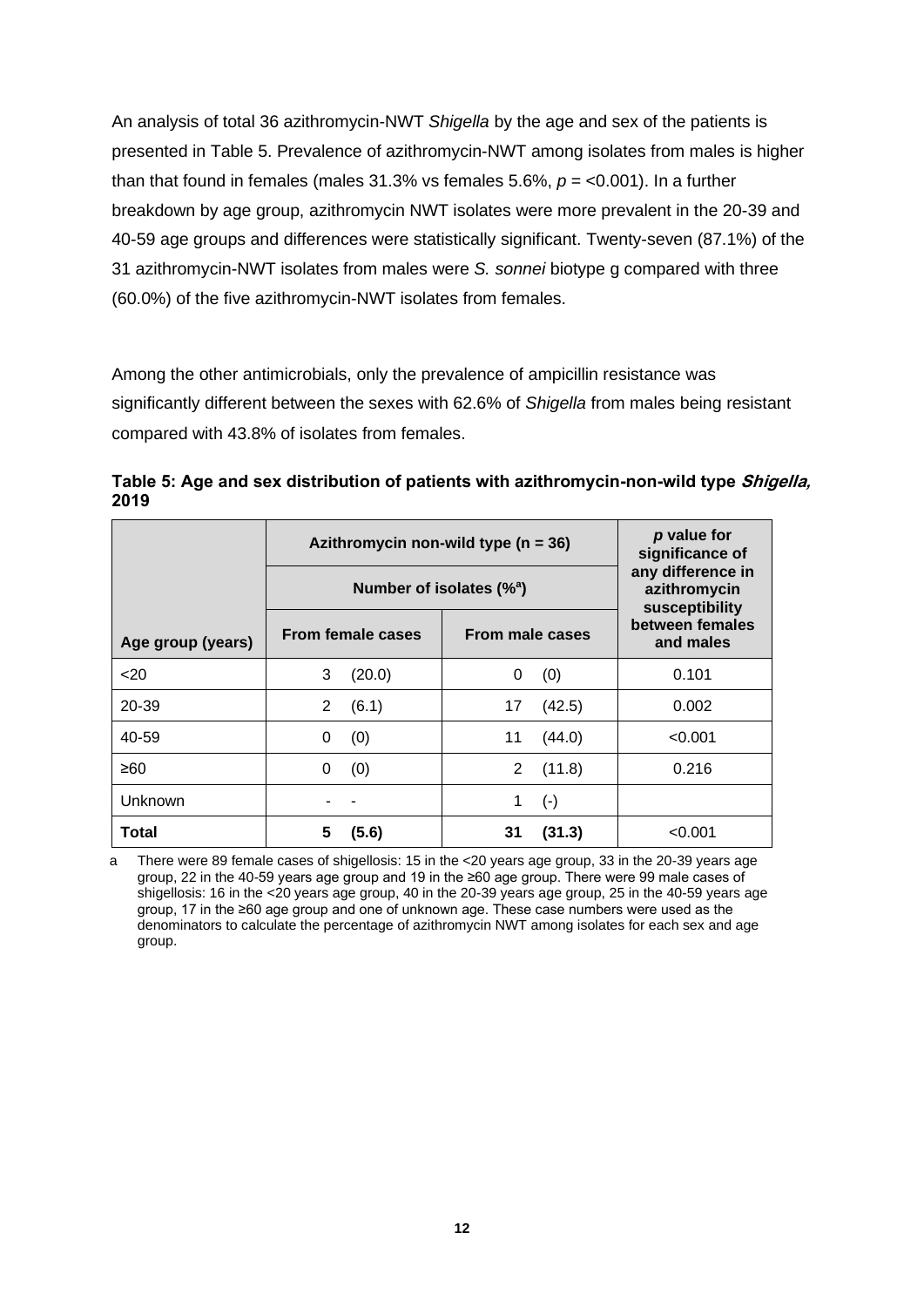An analysis of total 36 azithromycin-NWT *Shigella* by the age and sex of the patients is presented in Table 5. Prevalence of azithromycin-NWT among isolates from males is higher than that found in females (males 31.3% vs females 5.6%, *p* = <0.001). In a further breakdown by age group, azithromycin NWT isolates were more prevalent in the 20-39 and 40-59 age groups and differences were statistically significant. Twenty-seven (87.1%) of the 31 azithromycin-NWT isolates from males were *S. sonnei* biotype g compared with three (60.0%) of the five azithromycin-NWT isolates from females.

Among the other antimicrobials, only the prevalence of ampicillin resistance was significantly different between the sexes with 62.6% of *Shigella* from males being resistant compared with 43.8% of isolates from females.

<span id="page-13-0"></span>**Table 5: Age and sex distribution of patients with azithromycin-non-wild type Shigella, 2019**

|                   | Azithromycin non-wild type ( $n = 36$ ) | p value for<br>significance of                      |                              |  |
|-------------------|-----------------------------------------|-----------------------------------------------------|------------------------------|--|
|                   | Number of isolates $(\%^a)$             | any difference in<br>azithromycin<br>susceptibility |                              |  |
| Age group (years) | From female cases                       | From male cases                                     | between females<br>and males |  |
| 20                | 3<br>(20.0)                             | (0)<br>0                                            | 0.101                        |  |
| 20-39             | 2<br>(6.1)                              | (42.5)<br>17                                        | 0.002                        |  |
| 40-59             | (0)<br>0                                | 11<br>(44.0)                                        | < 0.001                      |  |
| ≥60               | (0)<br>0                                | 2<br>(11.8)                                         | 0.216                        |  |
| Unknown           |                                         | $(\cdot)$<br>1                                      |                              |  |
| Total             | 5<br>(5.6)                              | (31.3)<br>31                                        | <0.001                       |  |

a There were 89 female cases of shigellosis: 15 in the <20 years age group, 33 in the 20-39 years age group, 22 in the 40-59 years age group and 19 in the ≥60 age group. There were 99 male cases of shigellosis: 16 in the <20 years age group, 40 in the 20-39 years age group, 25 in the 40-59 years age group, 17 in the ≥60 age group and one of unknown age. These case numbers were used as the denominators to calculate the percentage of azithromycin NWT among isolates for each sex and age group.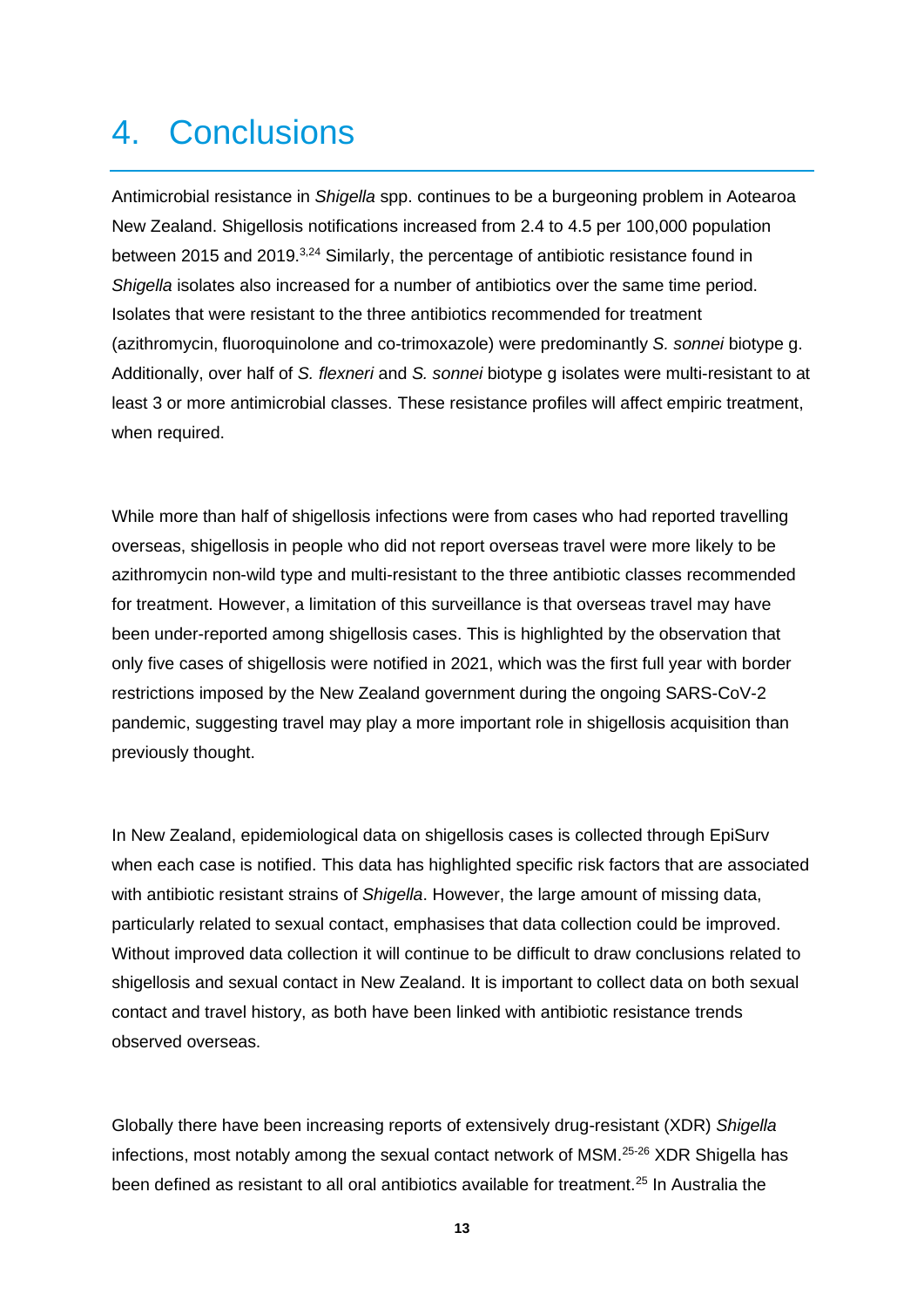#### 4. Conclusions

Antimicrobial resistance in *Shigella* spp. continues to be a burgeoning problem in Aotearoa New Zealand. Shigellosis notifications increased from 2.4 to 4.5 per 100,000 population between 2015 and 2019.<sup>3,24</sup> Similarly, the percentage of antibiotic resistance found in *Shigella* isolates also increased for a number of antibiotics over the same time period. Isolates that were resistant to the three antibiotics recommended for treatment (azithromycin, fluoroquinolone and co-trimoxazole) were predominantly *S. sonnei* biotype g. Additionally, over half of *S. flexneri* and *S. sonnei* biotype g isolates were multi-resistant to at least 3 or more antimicrobial classes. These resistance profiles will affect empiric treatment, when required.

While more than half of shigellosis infections were from cases who had reported travelling overseas, shigellosis in people who did not report overseas travel were more likely to be azithromycin non-wild type and multi-resistant to the three antibiotic classes recommended for treatment. However, a limitation of this surveillance is that overseas travel may have been under-reported among shigellosis cases. This is highlighted by the observation that only five cases of shigellosis were notified in 2021, which was the first full year with border restrictions imposed by the New Zealand government during the ongoing SARS-CoV-2 pandemic, suggesting travel may play a more important role in shigellosis acquisition than previously thought.

In New Zealand, epidemiological data on shigellosis cases is collected through EpiSurv when each case is notified. This data has highlighted specific risk factors that are associated with antibiotic resistant strains of *Shigella*. However, the large amount of missing data, particularly related to sexual contact, emphasises that data collection could be improved. Without improved data collection it will continue to be difficult to draw conclusions related to shigellosis and sexual contact in New Zealand. It is important to collect data on both sexual contact and travel history, as both have been linked with antibiotic resistance trends observed overseas.

Globally there have been increasing reports of extensively drug-resistant (XDR) *Shigella* infections, most notably among the sexual contact network of MSM.25-26 XDR Shigella has been defined as resistant to all oral antibiotics available for treatment.<sup>25</sup> In Australia the

**13**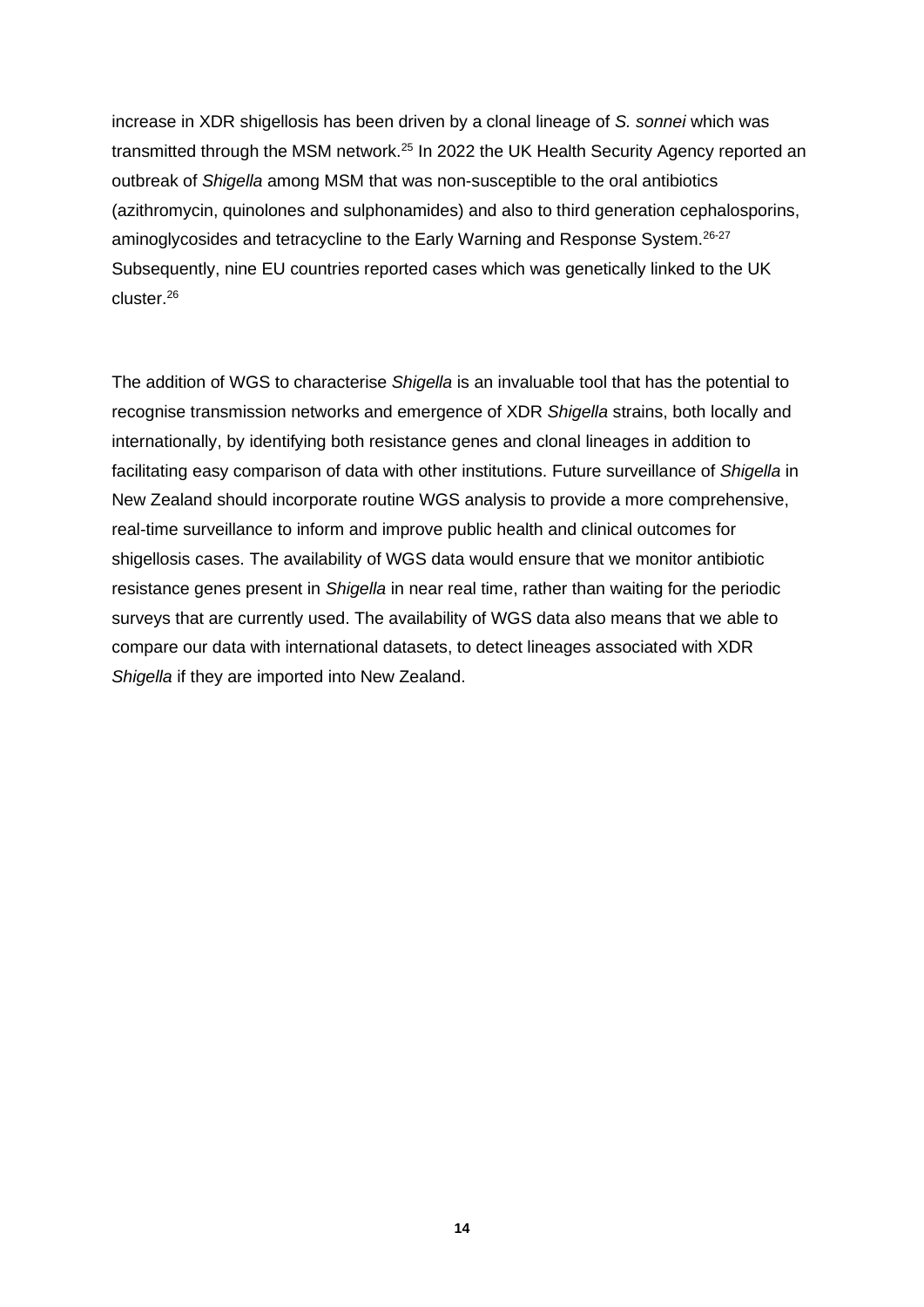increase in XDR shigellosis has been driven by a clonal lineage of *S. sonnei* which was transmitted through the MSM network.<sup>25</sup> In 2022 the UK Health Security Agency reported an outbreak of *Shigella* among MSM that was non-susceptible to the oral antibiotics (azithromycin, quinolones and sulphonamides) and also to third generation cephalosporins, aminoglycosides and tetracycline to the Early Warning and Response System.<sup>26-27</sup> Subsequently, nine EU countries reported cases which was genetically linked to the UK cluster.<sup>26</sup>

The addition of WGS to characterise *Shigella* is an invaluable tool that has the potential to recognise transmission networks and emergence of XDR *Shigella* strains, both locally and internationally, by identifying both resistance genes and clonal lineages in addition to facilitating easy comparison of data with other institutions. Future surveillance of *Shigella* in New Zealand should incorporate routine WGS analysis to provide a more comprehensive, real-time surveillance to inform and improve public health and clinical outcomes for shigellosis cases. The availability of WGS data would ensure that we monitor antibiotic resistance genes present in *Shigella* in near real time, rather than waiting for the periodic surveys that are currently used. The availability of WGS data also means that we able to compare our data with international datasets, to detect lineages associated with XDR *Shigella* if they are imported into New Zealand.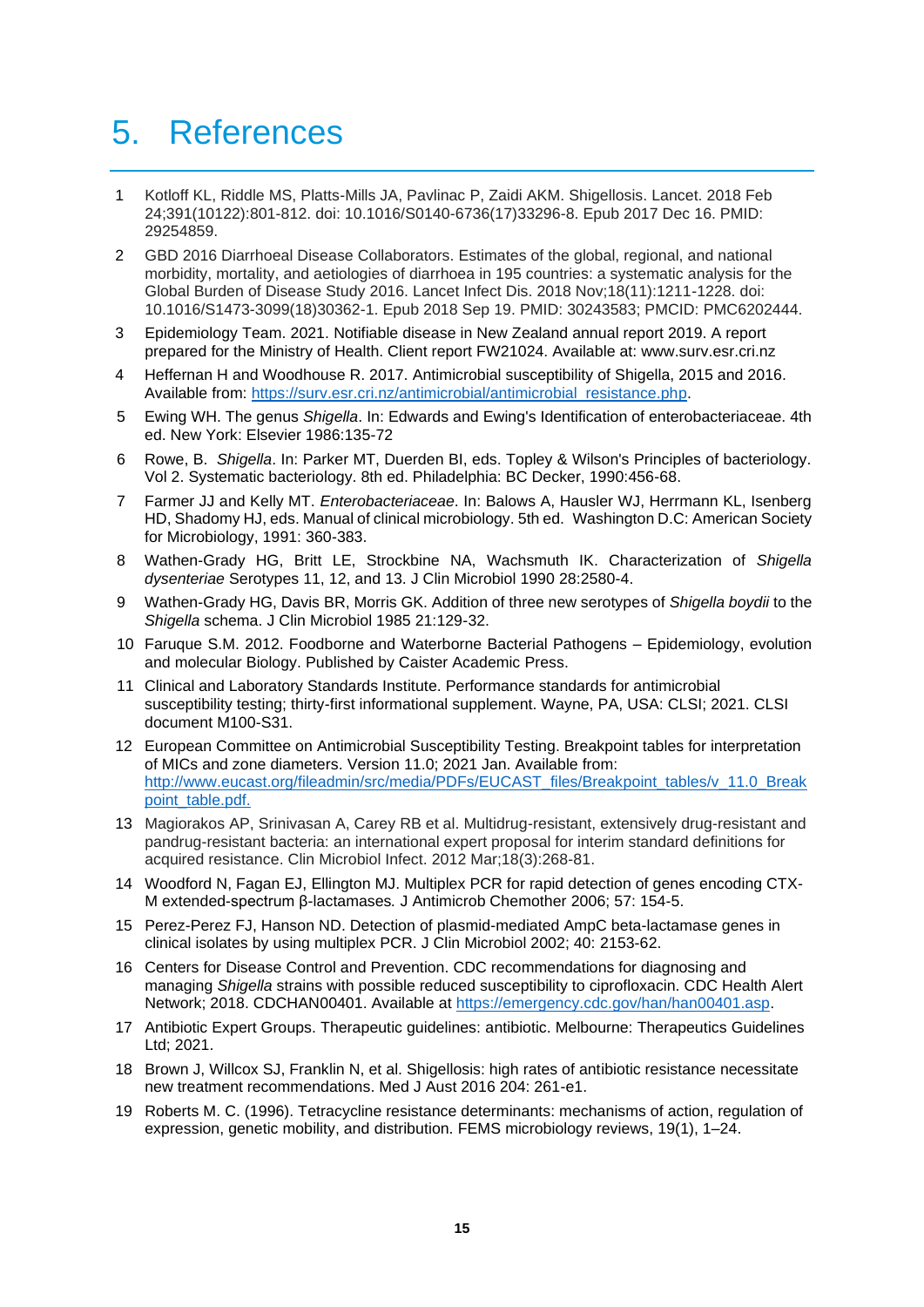#### 5. References

- 1 Kotloff KL, Riddle MS, Platts-Mills JA, Pavlinac P, Zaidi AKM. Shigellosis. Lancet. 2018 Feb 24;391(10122):801-812. doi: 10.1016/S0140-6736(17)33296-8. Epub 2017 Dec 16. PMID: 29254859.
- 2 GBD 2016 Diarrhoeal Disease Collaborators. Estimates of the global, regional, and national morbidity, mortality, and aetiologies of diarrhoea in 195 countries: a systematic analysis for the Global Burden of Disease Study 2016. Lancet Infect Dis. 2018 Nov;18(11):1211-1228. doi: 10.1016/S1473-3099(18)30362-1. Epub 2018 Sep 19. PMID: 30243583; PMCID: PMC6202444.
- 3 Epidemiology Team. 2021. Notifiable disease in New Zealand annual report 2019. A report prepared for the Ministry of Health. Client report FW21024. Available at: www.surv.esr.cri.nz
- 4 Heffernan H and Woodhouse R. 2017. Antimicrobial susceptibility of Shigella, 2015 and 2016. Available from: [https://surv.esr.cri.nz/antimicrobial/antimicrobial\\_resistance.php.](https://surv.esr.cri.nz/antimicrobial/antimicrobial_resistance.php)
- 5 Ewing WH. The genus *Shigella*. In: Edwards and Ewing's Identification of enterobacteriaceae. 4th ed. New York: Elsevier 1986:135-72
- 6 Rowe, B. *Shigella*. In: Parker MT, Duerden BI, eds. Topley & Wilson's Principles of bacteriology. Vol 2. Systematic bacteriology. 8th ed. Philadelphia: BC Decker, 1990:456-68.
- 7 Farmer JJ and Kelly MT. *Enterobacteriaceae*. In: Balows A, Hausler WJ, Herrmann KL, Isenberg HD, Shadomy HJ, eds. Manual of clinical microbiology. 5th ed. Washington D.C: American Society for Microbiology, 1991: 360-383.
- 8 Wathen-Grady HG, Britt LE, Strockbine NA, Wachsmuth IK. Characterization of *Shigella dysenteriae* Serotypes 11, 12, and 13. J Clin Microbiol 1990 28:2580-4.
- 9 Wathen-Grady HG, Davis BR, Morris GK. Addition of three new serotypes of *Shigella boydii* to the *Shigella* schema. J Clin Microbiol 1985 21:129-32.
- 10 Faruque S.M. 2012. Foodborne and Waterborne Bacterial Pathogens Epidemiology, evolution and molecular Biology. Published by Caister Academic Press.
- 11 Clinical and Laboratory Standards Institute. Performance standards for antimicrobial susceptibility testing; thirty-first informational supplement. Wayne, PA, USA: CLSI; 2021. CLSI document M100-S31.
- 12 European Committee on Antimicrobial Susceptibility Testing. Breakpoint tables for interpretation of MICs and zone diameters. Version 11.0; 2021 Jan. Available from: [http://www.eucast.org/fileadmin/src/media/PDFs/EUCAST\\_files/Breakpoint\\_tables/v\\_11.0\\_Break](http://www.eucast.org/fileadmin/src/media/PDFs/EUCAST_files/Breakpoint_tables/v_11.0_Breakpoint_table.pdf) [point\\_table.pdf.](http://www.eucast.org/fileadmin/src/media/PDFs/EUCAST_files/Breakpoint_tables/v_11.0_Breakpoint_table.pdf)
- 13 Magiorakos AP, Srinivasan A, Carey RB et al. Multidrug-resistant, extensively drug-resistant and pandrug-resistant bacteria: an international expert proposal for interim standard definitions for acquired resistance. Clin Microbiol Infect. 2012 Mar;18(3):268-81.
- 14 [Woodford N,](http://www.ncbi.nlm.nih.gov/sites/entrez?Db=pubmed&Cmd=Search&Term=%22Woodford%20N%22%5BAuthor%5D&itool=EntrezSystem2.PEntrez.Pubmed.Pubmed_ResultsPanel.Pubmed_DiscoveryPanel.Pubmed_RVAbstractPlus) Fagan EJ, [Ellington MJ.](http://www.ncbi.nlm.nih.gov/sites/entrez?Db=pubmed&Cmd=Search&Term=%22Ellington%20MJ%22%5BAuthor%5D&itool=EntrezSystem2.PEntrez.Pubmed.Pubmed_ResultsPanel.Pubmed_DiscoveryPanel.Pubmed_RVAbstractPlus) Multiplex PCR for rapid detection of genes encoding CTX-M extended-spectrum β-lactamases*.* J Antimicrob Chemother 2006; 57: 154-5.
- 15 Perez-Perez FJ, Hanson ND. Detection of plasmid-mediated AmpC beta-lactamase genes in clinical isolates by using multiplex PCR. J Clin Microbiol 2002; 40: 2153-62.
- 16 Centers for Disease Control and Prevention. CDC recommendations for diagnosing and managing *Shigella* strains with possible reduced susceptibility to ciprofloxacin. CDC Health Alert Network; 2018. CDCHAN00401. Available at [https://emergency.cdc.gov/han/han00401.asp.](https://emergency.cdc.gov/han/han00401.asp)
- 17 Antibiotic Expert Groups. Therapeutic guidelines: antibiotic. Melbourne: Therapeutics Guidelines Ltd; 2021.
- 18 Brown J, Willcox SJ, Franklin N, et al. Shigellosis: high rates of antibiotic resistance necessitate new treatment recommendations. Med J Aust 2016 204: 261-e1.
- 19 Roberts M. C. (1996). Tetracycline resistance determinants: mechanisms of action, regulation of expression, genetic mobility, and distribution. FEMS microbiology reviews, 19(1), 1–24.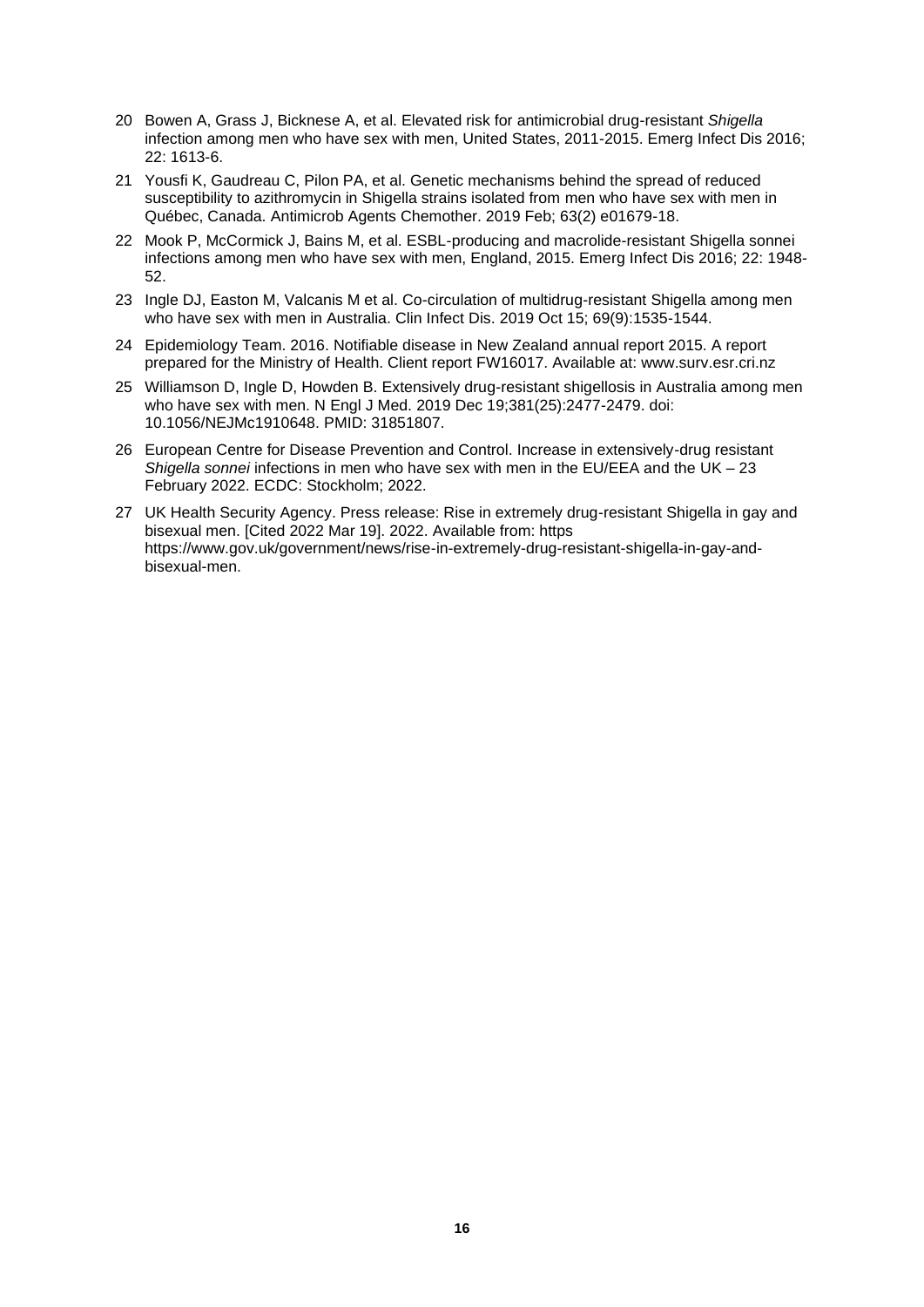- 20 Bowen A, Grass J, Bicknese A, et al. Elevated risk for antimicrobial drug-resistant *Shigella*  infection among men who have sex with men, United States, 2011-2015. Emerg Infect Dis 2016; 22: 1613-6.
- 21 Yousfi K, Gaudreau C, Pilon PA, et al. Genetic mechanisms behind the spread of reduced susceptibility to azithromycin in Shigella strains isolated from men who have sex with men in Québec, Canada. Antimicrob Agents Chemother. 2019 Feb; 63(2) e01679-18.
- 22 Mook P, McCormick J, Bains M, et al. ESBL-producing and macrolide-resistant Shigella sonnei infections among men who have sex with men, England, 2015. Emerg Infect Dis 2016; 22: 1948- 52.
- 23 Ingle DJ, Easton M, Valcanis M et al. Co-circulation of multidrug-resistant Shigella among men who have sex with men in Australia. Clin Infect Dis. 2019 Oct 15; 69(9):1535-1544.
- 24 Epidemiology Team. 2016. Notifiable disease in New Zealand annual report 2015. A report prepared for the Ministry of Health. Client report FW16017. Available at: www.surv.esr.cri.nz
- 25 Williamson D, Ingle D, Howden B. Extensively drug-resistant shigellosis in Australia among men who have sex with men. N Engl J Med. 2019 Dec 19;381(25):2477-2479. doi: 10.1056/NEJMc1910648. PMID: 31851807.
- 26 European Centre for Disease Prevention and Control. Increase in extensively-drug resistant *Shigella sonnei* infections in men who have sex with men in the EU/EEA and the UK – 23 February 2022. ECDC: Stockholm; 2022.
- 27 UK Health Security Agency. Press release: Rise in extremely drug-resistant Shigella in gay and bisexual men. [Cited 2022 Mar 19]. 2022. Available from: https https://www.gov.uk/government/news/rise-in-extremely-drug-resistant-shigella-in-gay-andbisexual-men.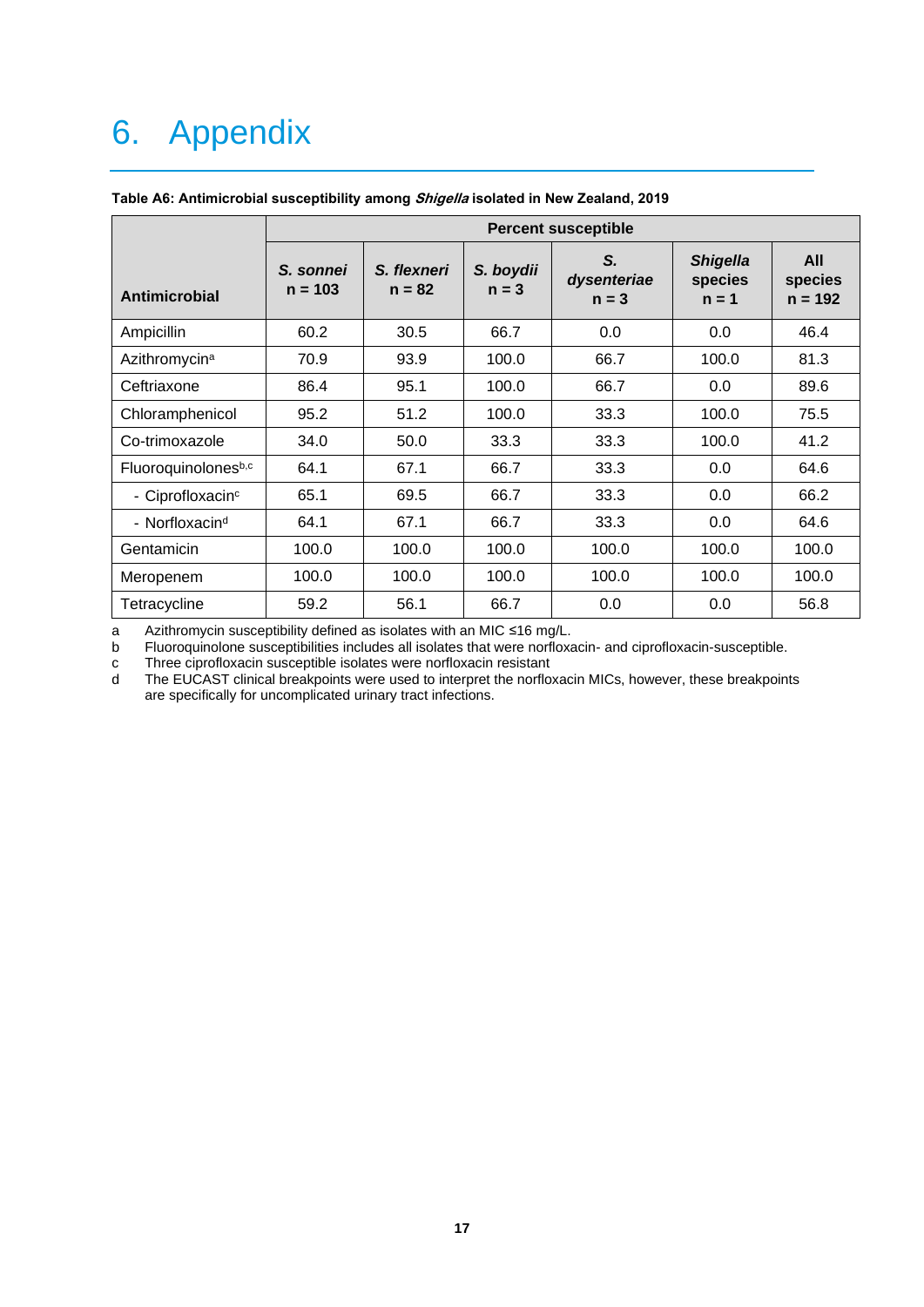### 6. Appendix

|                              | <b>Percent susceptible</b> |                         |                      |                              |                                       |                             |
|------------------------------|----------------------------|-------------------------|----------------------|------------------------------|---------------------------------------|-----------------------------|
| Antimicrobial                | S. sonnei<br>$n = 103$     | S. flexneri<br>$n = 82$ | S. boydii<br>$n = 3$ | S.<br>dysenteriae<br>$n = 3$ | <b>Shigella</b><br>species<br>$n = 1$ | All<br>species<br>$n = 192$ |
| Ampicillin                   | 60.2                       | 30.5                    | 66.7                 | 0.0                          | 0.0                                   | 46.4                        |
| Azithromycin <sup>a</sup>    | 70.9                       | 93.9                    | 100.0                | 66.7                         | 100.0                                 | 81.3                        |
| Ceftriaxone                  | 86.4                       | 95.1                    | 100.0                | 66.7                         | 0.0                                   | 89.6                        |
| Chloramphenicol              | 95.2                       | 51.2                    | 100.0                | 33.3                         | 100.0                                 | 75.5                        |
| Co-trimoxazole               | 34.0                       | 50.0                    | 33.3                 | 33.3                         | 100.0                                 | 41.2                        |
| Fluoroquinolonesb,c          | 64.1                       | 67.1                    | 66.7                 | 33.3                         | 0.0                                   | 64.6                        |
| - Ciprofloxacin <sup>c</sup> | 65.1                       | 69.5                    | 66.7                 | 33.3                         | 0.0                                   | 66.2                        |
| - Norfloxacin <sup>d</sup>   | 64.1                       | 67.1                    | 66.7                 | 33.3                         | 0.0                                   | 64.6                        |
| Gentamicin                   | 100.0                      | 100.0                   | 100.0                | 100.0                        | 100.0                                 | 100.0                       |
| Meropenem                    | 100.0                      | 100.0                   | 100.0                | 100.0                        | 100.0                                 | 100.0                       |
| Tetracycline                 | 59.2                       | 56.1                    | 66.7                 | 0.0                          | 0.0                                   | 56.8                        |

#### <span id="page-18-0"></span>**Table A6: Antimicrobial susceptibility among Shigella isolated in New Zealand, 2019**

a Azithromycin susceptibility defined as isolates with an MIC ≤16 mg/L.

b Fluoroquinolone susceptibilities includes all isolates that were norfloxacin- and ciprofloxacin-susceptible.

c Three ciprofloxacin susceptible isolates were norfloxacin resistant

d The EUCAST clinical breakpoints were used to interpret the norfloxacin MICs, however, these breakpoints are specifically for uncomplicated urinary tract infections.